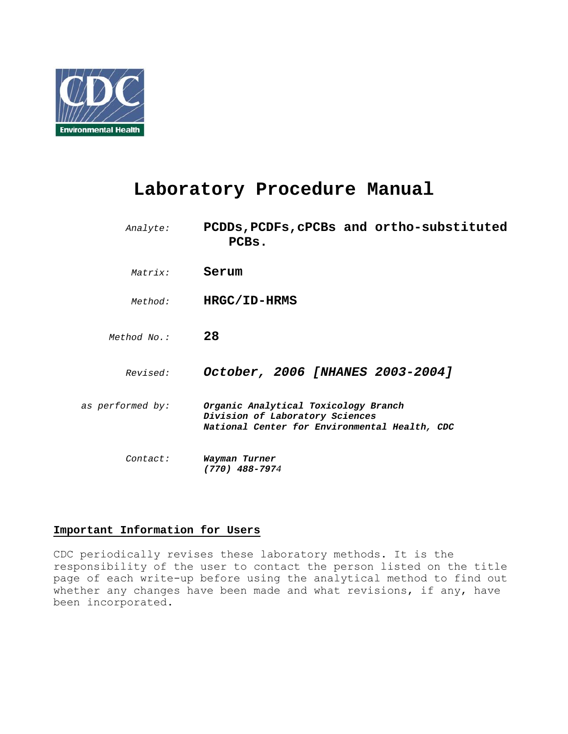

# **Laboratory Procedure Manual**

| Analyte:         | PCDDs, PCDFs, cPCBs and ortho-substituted<br>PCBs.                                                                       |
|------------------|--------------------------------------------------------------------------------------------------------------------------|
| Matrix:          | Serum                                                                                                                    |
| Method:          | HRGC/ID-HRMS                                                                                                             |
| Method No.:      | 28                                                                                                                       |
| Revised:         | October, 2006 [NHANES 2003-2004]                                                                                         |
| as performed by: | Organic Analytical Toxicology Branch<br>Division of Laboratory Sciences<br>National Center for Environmental Health, CDC |
| Contact:         | Wayman Turner<br>$(770)$ 488-7974                                                                                        |

# **Important Information for Users**

CDC periodically revises these laboratory methods. It is the responsibility of the user to contact the person listed on the title page of each write-up before using the analytical method to find out whether any changes have been made and what revisions, if any, have been incorporated.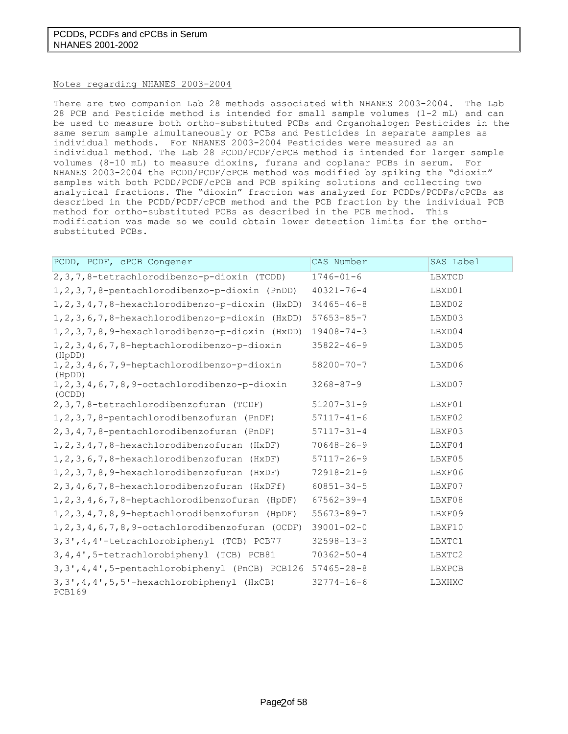#### Notes regarding NHANES 2003-2004

There are two companion Lab 28 methods associated with NHANES 2003-2004. The Lab 28 PCB and Pesticide method is intended for small sample volumes (1-2 mL) and can be used to measure both ortho-substituted PCBs and Organohalogen Pesticides in the same serum sample simultaneously or PCBs and Pesticides in separate samples as individual methods. For NHANES 2003-2004 Pesticides were measured as an individual method. The Lab 28 PCDD/PCDF/cPCB method is intended for larger sample volumes (8-10 mL) to measure dioxins, furans and coplanar PCBs in serum. For NHANES 2003-2004 the PCDD/PCDF/cPCB method was modified by spiking the "dioxin" samples with both PCDD/PCDF/cPCB and PCB spiking solutions and collecting two analytical fractions. The "dioxin" fraction was analyzed for PCDDs/PCDFs/cPCBs as described in the PCDD/PCDF/cPCB method and the PCB fraction by the individual PCB method for ortho-substituted PCBs as described in the PCB method. This modification was made so we could obtain lower detection limits for the orthosubstituted PCBs.

| PCDD, PCDF, cPCB Congener                                         | CAS Number       | SAS Label |
|-------------------------------------------------------------------|------------------|-----------|
| 2, 3, 7, 8-tetrachlorodibenzo-p-dioxin (TCDD)                     | $1746 - 01 - 6$  | LBXTCD    |
| 1, 2, 3, 7, 8-pentachlorodibenzo-p-dioxin (PnDD)                  | $40321 - 76 - 4$ | LBXD01    |
| 1, 2, 3, 4, 7, 8-hexachlorodibenzo-p-dioxin (HxDD)                | $34465 - 46 - 8$ | LBXD02    |
| 1, 2, 3, 6, 7, 8-hexachlorodibenzo-p-dioxin (HxDD)                | $57653 - 85 - 7$ | LBXD03    |
| 1, 2, 3, 7, 8, 9-hexachlorodibenzo-p-dioxin (HxDD)                | $19408 - 74 - 3$ | LBXD04    |
| 1, 2, 3, 4, 6, 7, 8-heptachlorodibenzo-p-dioxin<br>(HpDD)         | $35822 - 46 - 9$ | LBXD05    |
| $1, 2, 3, 4, 6, 7, 9$ -heptachlorodibenzo-p-dioxin<br>(HpDD)      | $58200 - 70 - 7$ | LBXD06    |
| $1, 2, 3, 4, 6, 7, 8, 9$ -octachlorodibenzo-p-dioxin<br>(OCDD)    | $3268 - 87 - 9$  | LBXD07    |
| 2, 3, 7, 8-tetrachlorodibenzofuran (TCDF)                         | $51207 - 31 - 9$ | LBXF01    |
| 1, 2, 3, 7, 8-pentachlorodibenzofuran (PnDF)                      | $57117 - 41 - 6$ | LBXF02    |
| 2, 3, 4, 7, 8-pentachlorodibenzofuran (PnDF)                      | $57117 - 31 - 4$ | LBXF03    |
| 1, 2, 3, 4, 7, 8-hexachlorodibenzofuran (HxDF)                    | $70648 - 26 - 9$ | LBXF04    |
| 1, 2, 3, 6, 7, 8-hexachlorodibenzofuran (HxDF)                    | $57117 - 26 - 9$ | LBXF05    |
| 1, 2, 3, 7, 8, 9-hexachlorodibenzofuran (HxDF)                    | $72918 - 21 - 9$ | LBXF06    |
| 2, 3, 4, 6, 7, 8-hexachlorodibenzofuran (HxDFf)                   | $60851 - 34 - 5$ | LBXF07    |
| $1, 2, 3, 4, 6, 7, 8$ -heptachlorodibenzofuran (HpDF)             | $67562 - 39 - 4$ | LBXF08    |
| $1, 2, 3, 4, 7, 8, 9$ -heptachlorodibenzofuran (HpDF)             | $55673 - 89 - 7$ | LBXF09    |
| $1, 2, 3, 4, 6, 7, 8, 9$ -octachlorodibenzofuran (OCDF)           | $39001 - 02 - 0$ | LBXF10    |
| 3, 3', 4, 4'-tetrachlorobiphenyl (TCB) PCB77                      | $32598 - 13 - 3$ | LBXTC1    |
| 3, 4, 4', 5-tetrachlorobiphenyl (TCB) PCB81                       | $70362 - 50 - 4$ | LBXTC2    |
| 3, 3', 4, 4', 5-pentachlorobiphenyl (PnCB) PCB126                 | $57465 - 28 - 8$ | LBXPCB    |
| $3, 3', 4, 4', 5, 5'$ -hexachlorobiphenyl (HxCB)<br><b>PCB169</b> | $32774 - 16 - 6$ | LBXHXC    |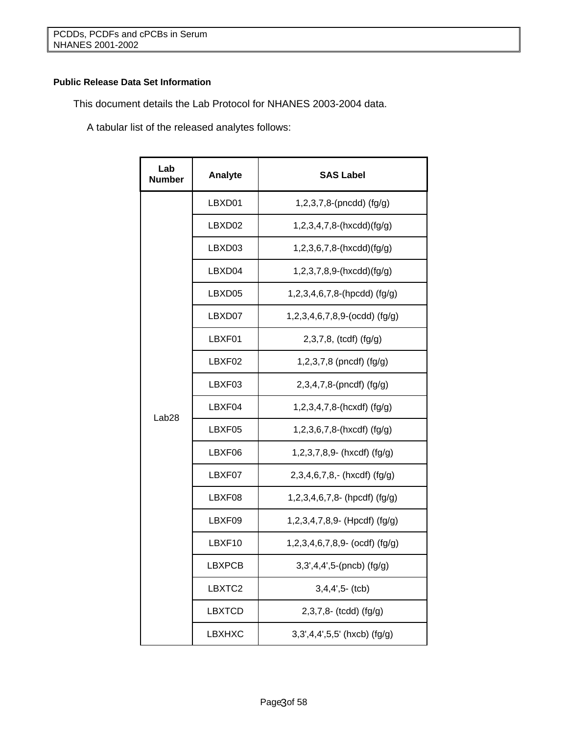# **Public Release Data Set Information**

This document details the Lab Protocol for NHANES 2003-2004 data.

A tabular list of the released analytes follows:

| Lab<br><b>Number</b> | Analyte            | <b>SAS Label</b>                          |
|----------------------|--------------------|-------------------------------------------|
|                      | LBXD01             | $1,2,3,7,8$ -(pncdd) (fg/g)               |
|                      | LBXD <sub>02</sub> | $1,2,3,4,7,8-(hx cdd)(fq/q)$              |
|                      | LBXD03             | $1,2,3,6,7,8-(\text{hxcdd})(\text{fg/g})$ |
|                      | LBXD04             | $1,2,3,7,8,9-(\text{hxcdd})(\text{fg/g})$ |
|                      | LBXD05             | $1,2,3,4,6,7,8$ -(hpcdd) (fg/g)           |
|                      | LBXD07             | $1,2,3,4,6,7,8,9$ -(ocdd) (fg/g)          |
|                      | LBXF01             | 2,3,7,8, (tcdf) (fg/g)                    |
| Lab <sub>28</sub>    | LBXF02             | 1,2,3,7,8 (pncdf) (fg/g)                  |
|                      | LBXF03             | 2,3,4,7,8-(pncdf) (fg/g)                  |
|                      | LBXF04             | $1,2,3,4,7,8-(\text{hexdf})$ (fg/g)       |
|                      | LBXF05             | $1,2,3,6,7,8-(hxcdf)$ (fg/g)              |
|                      | LBXF06             | $1,2,3,7,8,9$ - (hxcdf) (fg/g)            |
|                      | LBXF07             | $2,3,4,6,7,8,-$ (hxcdf) (fg/g)            |
|                      | LBXF08             | $1,2,3,4,6,7,8$ - (hpcdf) (fg/g)          |
|                      | LBXF09             | $1,2,3,4,7,8,9$ (Hpcdf) (fg/g)            |
|                      | LBXF10             | $1,2,3,4,6,7,8,9$ (ocdf) (fg/g)           |
|                      | <b>LBXPCB</b>      | $3,3',4,4',5-(pncb)$ (fg/g)               |
|                      | LBXTC2             | $3,4,4',5$ - (tcb)                        |
|                      | <b>LBXTCD</b>      | 2,3,7,8- (tcdd) (fg/g)                    |
|                      | <b>LBXHXC</b>      | 3,3',4,4',5,5' (hxcb) (fg/g)              |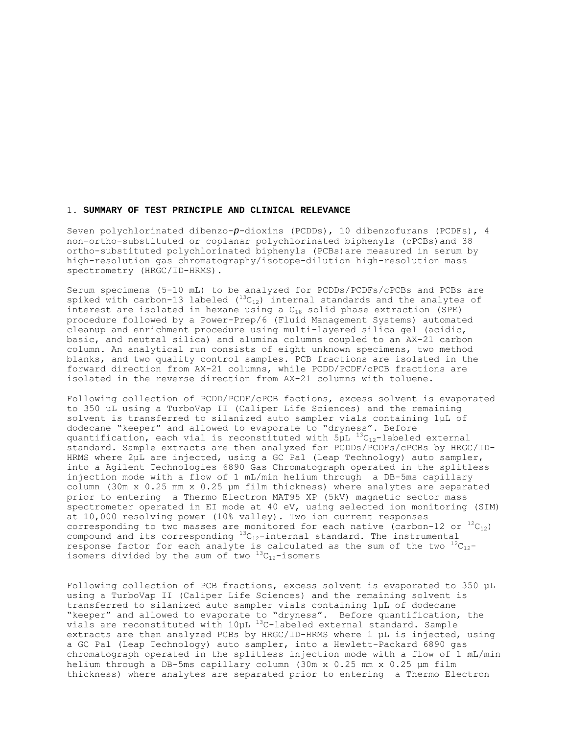#### 1. **SUMMARY OF TEST PRINCIPLE AND CLINICAL RELEVANCE**

Seven polychlorinated dibenzo-*p*-dioxins (PCDDs), 10 dibenzofurans (PCDFs), 4 non-ortho-substituted or coplanar polychlorinated biphenyls (cPCBs)and 38 ortho-substituted polychlorinated biphenyls (PCBs)are measured in serum by high-resolution gas chromatography/isotope-dilution high-resolution mass spectrometry (HRGC/ID-HRMS).

Serum specimens (5-10 mL) to be analyzed for PCDDs/PCDFs/cPCBs and PCBs are spiked with carbon-13 labeled  $(^{13}C_{12})$  internal standards and the analytes of interest are isolated in hexane using a  $C_{18}$  solid phase extraction (SPE) procedure followed by a Power-Prep/6 (Fluid Management Systems) automated cleanup and enrichment procedure using multi-layered silica gel (acidic, basic, and neutral silica) and alumina columns coupled to an AX-21 carbon column. An analytical run consists of eight unknown specimens, two method blanks, and two quality control samples. PCB fractions are isolated in the forward direction from AX-21 columns, while PCDD/PCDF/cPCB fractions are isolated in the reverse direction from AX-21 columns with toluene.

Following collection of PCDD/PCDF/cPCB factions, excess solvent is evaporated to 350 µL using a TurboVap II (Caliper Life Sciences) and the remaining solvent is transferred to silanized auto sampler vials containing 1µL of dodecane "keeper" and allowed to evaporate to "dryness". Before quantification, each vial is reconstituted with  $5\mu L^{-13}C_{12}$ -labeled external standard. Sample extracts are then analyzed for PCDDs/PCDFs/cPCBs by HRGC/ID-HRMS where 2µL are injected, using a GC Pal (Leap Technology) auto sampler, into a Agilent Technologies 6890 Gas Chromatograph operated in the splitless injection mode with a flow of 1 mL/min helium through a DB-5ms capillary column (30m x 0.25 mm x 0.25 μm film thickness) where analytes are separated prior to entering a Thermo Electron MAT95 XP (5kV) magnetic sector mass spectrometer operated in EI mode at 40 eV, using selected ion monitoring (SIM) at 10,000 resolving power (10% valley). Two ion current responses corresponding to two masses are monitored for each native (carbon-12 or  ${}^{12}C_{12}$ ) compound and its corresponding  ${}^{13}C_{12}$ -internal standard. The instrumental response factor for each analyte is calculated as the sum of the two  ${}^{12}C_{12}$ isomers divided by the sum of two  $^{13}C_{12}$ -isomers

Following collection of PCB fractions, excess solvent is evaporated to 350 µL using a TurboVap II (Caliper Life Sciences) and the remaining solvent is transferred to silanized auto sampler vials containing 1µL of dodecane "keeper" and allowed to evaporate to "dryness". Before quantification, the vials are reconstituted with  $10\mu L^{-13}$ C-labeled external standard. Sample extracts are then analyzed PCBs by HRGC/ID-HRMS where 1 µL is injected, using a GC Pal (Leap Technology) auto sampler, into a Hewlett-Packard 6890 gas chromatograph operated in the splitless injection mode with a flow of 1 mL/min helium through a DB-5ms capillary column (30m x 0.25 mm x 0.25 μm film thickness) where analytes are separated prior to entering a Thermo Electron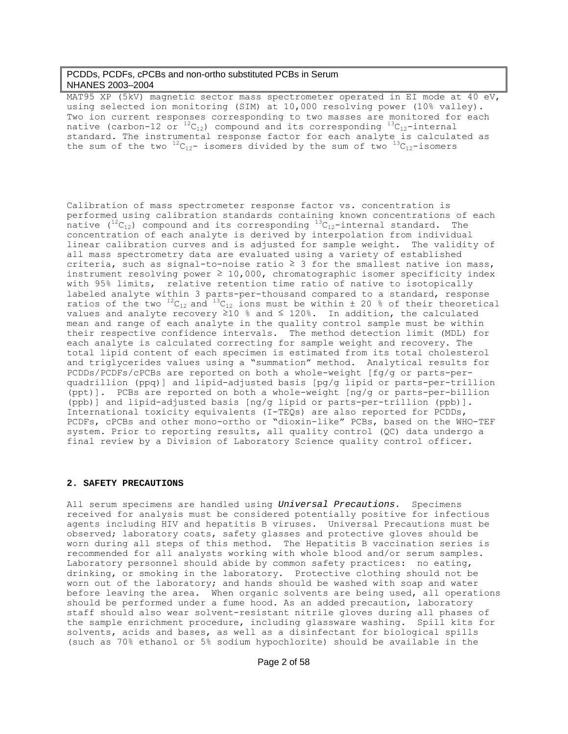MAT95 XP (5kV) magnetic sector mass spectrometer operated in EI mode at 40 eV, using selected ion monitoring (SIM) at 10,000 resolving power (10% valley). Two ion current responses corresponding to two masses are monitored for each native (carbon-12 or  ${}^{12}C_{12}$ ) compound and its corresponding  ${}^{13}C_{12}$ -internal standard. The instrumental response factor for each analyte is calculated as the sum of the two  ${}^{12}C_{12}$ - isomers divided by the sum of two  ${}^{13}C_{12}$ -isomers

Calibration of mass spectrometer response factor vs. concentration is performed using calibration standards containing known concentrations of each native  $(^{12}C_{12})$  compound and its corresponding  $^{13}C_{12}$ -internal standard. The concentration of each analyte is derived by interpolation from individual linear calibration curves and is adjusted for sample weight. The validity of all mass spectrometry data are evaluated using a variety of established criteria, such as signal-to-noise ratio  $\geq$  3 for the smallest native ion mass, instrument resolving power  $\geq 10,000$ , chromatographic isomer specificity index with 95% limits, relative retention time ratio of native to isotopically labeled analyte within 3 parts-per-thousand compared to a standard, response ratios of the two  ${}^{12}C_{12}$  and  ${}^{13}C_{12}$  ions must be within  $\pm$  20 % of their theoretical values and analyte recovery ≥10 % and ≤ 120%. In addition, the calculated mean and range of each analyte in the quality control sample must be within their respective confidence intervals. The method detection limit (MDL) for each analyte is calculated correcting for sample weight and recovery. The total lipid content of each specimen is estimated from its total cholesterol and triglycerides values using a "summation" method. Analytical results for PCDDs/PCDFs/cPCBs are reported on both a whole-weight [fg/g or parts-perquadrillion (ppq)] and lipid-adjusted basis [pg/g lipid or parts-per-trillion (ppt)]. PCBs are reported on both a whole-weight [ng/g or parts-per-billion (ppb)] and lipid-adjusted basis [ng/g lipid or parts-per-trillion (ppb)]. International toxicity equivalents (I-TEQs) are also reported for PCDDs, PCDFs, cPCBs and other mono-ortho or "dioxin-like" PCBs, based on the WHO-TEF system. Prior to reporting results, all quality control (QC) data undergo a final review by a Division of Laboratory Science quality control officer.

#### **2. SAFETY PRECAUTIONS**

All serum specimens are handled using *Universal Precautions.* Specimens received for analysis must be considered potentially positive for infectious agents including HIV and hepatitis B viruses. Universal Precautions must be observed; laboratory coats, safety glasses and protective gloves should be worn during all steps of this method. The Hepatitis B vaccination series is recommended for all analysts working with whole blood and/or serum samples. Laboratory personnel should abide by common safety practices: no eating, drinking, or smoking in the laboratory. Protective clothing should not be worn out of the laboratory; and hands should be washed with soap and water before leaving the area. When organic solvents are being used, all operations should be performed under a fume hood. As an added precaution, laboratory staff should also wear solvent-resistant nitrile gloves during all phases of the sample enrichment procedure, including glassware washing. Spill kits for solvents, acids and bases, as well as a disinfectant for biological spills (such as 70% ethanol or 5% sodium hypochlorite) should be available in the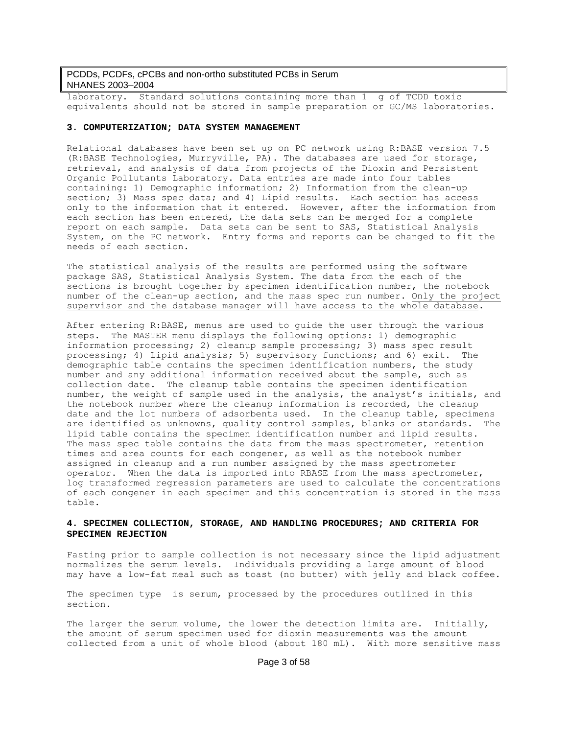laboratory. Standard solutions containing more than 1 g of TCDD toxic equivalents should not be stored in sample preparation or GC/MS laboratories.

#### **3. COMPUTERIZATION; DATA SYSTEM MANAGEMENT**

Relational databases have been set up on PC network using R:BASE version 7.5 (R:BASE Technologies, Murryville, PA). The databases are used for storage, retrieval, and analysis of data from projects of the Dioxin and Persistent Organic Pollutants Laboratory. Data entries are made into four tables containing: 1) Demographic information; 2) Information from the clean-up section; 3) Mass spec data; and 4) Lipid results. Each section has access only to the information that it entered. However, after the information from each section has been entered, the data sets can be merged for a complete report on each sample. Data sets can be sent to SAS, Statistical Analysis System, on the PC network. Entry forms and reports can be changed to fit the needs of each section.

The statistical analysis of the results are performed using the software package SAS, Statistical Analysis System. The data from the each of the sections is brought together by specimen identification number, the notebook number of the clean-up section, and the mass spec run number. Only the project supervisor and the database manager will have access to the whole database.

After entering R:BASE, menus are used to guide the user through the various steps. The MASTER menu displays the following options: 1) demographic information processing; 2) cleanup sample processing; 3) mass spec result processing; 4) Lipid analysis; 5) supervisory functions; and 6) exit. The demographic table contains the specimen identification numbers, the study number and any additional information received about the sample, such as collection date. The cleanup table contains the specimen identification number, the weight of sample used in the analysis, the analyst's initials, and the notebook number where the cleanup information is recorded, the cleanup date and the lot numbers of adsorbents used. In the cleanup table, specimens are identified as unknowns, quality control samples, blanks or standards. The lipid table contains the specimen identification number and lipid results. The mass spec table contains the data from the mass spectrometer, retention times and area counts for each congener, as well as the notebook number assigned in cleanup and a run number assigned by the mass spectrometer operator. When the data is imported into RBASE from the mass spectrometer, log transformed regression parameters are used to calculate the concentrations of each congener in each specimen and this concentration is stored in the mass table.

### **4. SPECIMEN COLLECTION, STORAGE, AND HANDLING PROCEDURES; AND CRITERIA FOR SPECIMEN REJECTION**

Fasting prior to sample collection is not necessary since the lipid adjustment normalizes the serum levels. Individuals providing a large amount of blood may have a low-fat meal such as toast (no butter) with jelly and black coffee.

The specimen type is serum, processed by the procedures outlined in this section.

The larger the serum volume, the lower the detection limits are. Initially, the amount of serum specimen used for dioxin measurements was the amount collected from a unit of whole blood (about 180 mL). With more sensitive mass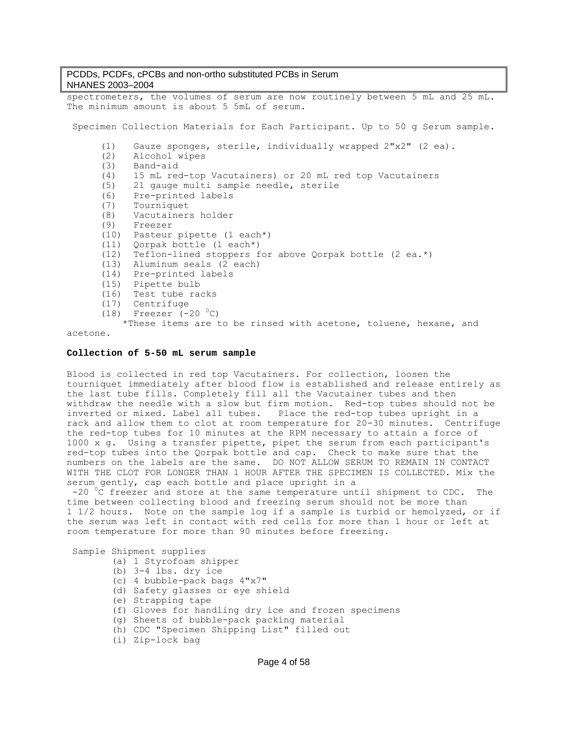spectrometers, the volumes of serum are now routinely between 5 mL and 25 mL. The minimum amount is about 5 5mL of serum. Specimen Collection Materials for Each Participant. Up to 50 g Serum sample. (1) Gauze sponges, sterile, individually wrapped 2"x2" (2 ea). (2) Alcohol wipes (3) Band-aid (4) 15 mL red-top Vacutainers) or 20 mL red top Vacutainers (5) 21 gauge multi sample needle, sterile (6) Pre-printed labels (7) Tourniquet (8) Vacutainers holder (9) Freezer (10) Pasteur pipette (1 each\*) (11) Qorpak bottle (1 each\*) (12) Teflon-lined stoppers for above Qorpak bottle (2 ea.\*) (13) Aluminum seals (2 each) (14) Pre-printed labels (15) Pipette bulb (16) Test tube racks (17) Centrifuge  $(18)$  Freezer  $(-20<sup>o</sup>C)$ \*These items are to be rinsed with acetone, toluene, hexane, and

#### acetone.

#### **Collection of 5-50 mL serum sample**

Blood is collected in red top Vacutainers. For collection, loosen the tourniquet immediately after blood flow is established and release entirely as the last tube fills. Completely fill all the Vacutainer tubes and then withdraw the needle with a slow but firm motion. Red-top tubes should not be inverted or mixed. Label all tubes. Place the red-top tubes upright in a rack and allow them to clot at room temperature for 20-30 minutes. Centrifuge the red-top tubes for 10 minutes at the RPM necessary to attain a force of 1000 x g. Using a transfer pipette, pipet the serum from each participant's red-top tubes into the Qorpak bottle and cap. Check to make sure that the numbers on the labels are the same. DO NOT ALLOW SERUM TO REMAIN IN CONTACT WITH THE CLOT FOR LONGER THAN 1 HOUR AFTER THE SPECIMEN IS COLLECTED. Mix the serum gently, cap each bottle and place upright in a

 $-20$  <sup>o</sup>C freezer and store at the same temperature until shipment to CDC. The time between collecting blood and freezing serum should not be more than 1 1/2 hours. Note on the sample log if a sample is turbid or hemolyzed, or if the serum was left in contact with red cells for more than 1 hour or left at room temperature for more than 90 minutes before freezing.

Sample Shipment supplies

- (a) 1 Styrofoam shipper
- (b) 3-4 lbs. dry ice
- (c) 4 bubble-pack bags 4"x7"
- (d) Safety glasses or eye shield
- (e) Strapping tape
- (f) Gloves for handling dry ice and frozen specimens
- (g) Sheets of bubble-pack packing material
- (h) CDC "Specimen Shipping List" filled out
- (i) Zip-lock bag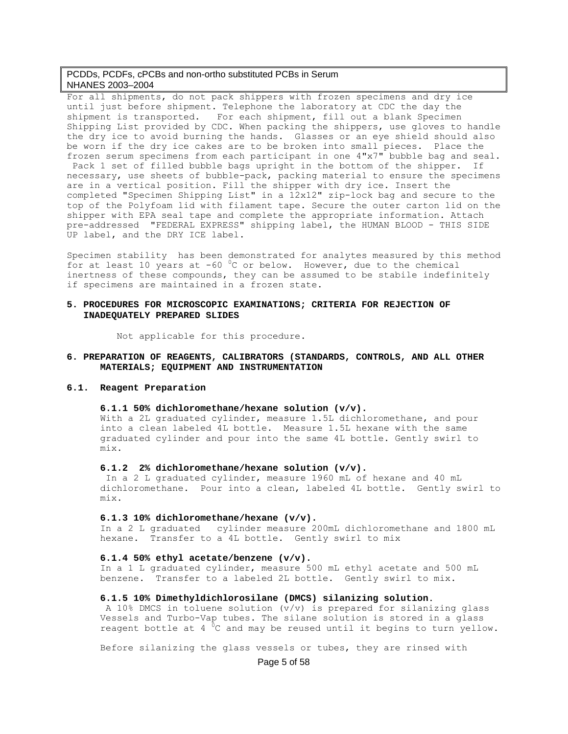For all shipments, do not pack shippers with frozen specimens and dry ice until just before shipment. Telephone the laboratory at CDC the day the shipment is transported. For each shipment, fill out a blank Specimen Shipping List provided by CDC. When packing the shippers, use gloves to handle the dry ice to avoid burning the hands. Glasses or an eye shield should also be worn if the dry ice cakes are to be broken into small pieces. Place the frozen serum specimens from each participant in one 4"x7" bubble bag and seal. Pack 1 set of filled bubble bags upright in the bottom of the shipper. If necessary, use sheets of bubble-pack, packing material to ensure the specimens are in a vertical position. Fill the shipper with dry ice. Insert the completed "Specimen Shipping List" in a 12x12" zip-lock bag and secure to the top of the Polyfoam lid with filament tape. Secure the outer carton lid on the shipper with EPA seal tape and complete the appropriate information. Attach pre-addressed "FEDERAL EXPRESS" shipping label, the HUMAN BLOOD - THIS SIDE UP label, and the DRY ICE label.

Specimen stability has been demonstrated for analytes measured by this method for at least 10 years at -60  $\mathrm{^0C}$  or below. However, due to the chemical inertness of these compounds, they can be assumed to be stabile indefinitely if specimens are maintained in a frozen state.

#### **5. PROCEDURES FOR MICROSCOPIC EXAMINATIONS; CRITERIA FOR REJECTION OF INADEQUATELY PREPARED SLIDES**

Not applicable for this procedure.

#### **6. PREPARATION OF REAGENTS, CALIBRATORS (STANDARDS, CONTROLS, AND ALL OTHER MATERIALS; EQUIPMENT AND INSTRUMENTATION**

#### **6.1. Reagent Preparation**

#### **6.1.1 50% dichloromethane/hexane solution (v/v).**

With a 2L graduated cylinder, measure 1.5L dichloromethane, and pour into a clean labeled 4L bottle. Measure 1.5L hexane with the same graduated cylinder and pour into the same 4L bottle. Gently swirl to mix.

### **6.1.2 2% dichloromethane/hexane solution (v/v).**

 In a 2 L graduated cylinder, measure 1960 mL of hexane and 40 mL dichloromethane. Pour into a clean, labeled 4L bottle. Gently swirl to mix.

#### **6.1.3 10% dichloromethane/hexane (v/v).**

In a 2 L graduated cylinder measure 200mL dichloromethane and 1800 mL hexane. Transfer to a 4L bottle. Gently swirl to mix

#### **6.1.4 50% ethyl acetate/benzene (v/v).**

In a 1 L graduated cylinder, measure 500 mL ethyl acetate and 500 mL benzene. Transfer to a labeled 2L bottle. Gently swirl to mix.

#### **6.1.5 10% Dimethyldichlorosilane (DMCS) silanizing solution**.

 A 10% DMCS in toluene solution (v/v) is prepared for silanizing glass Vessels and Turbo-Vap tubes. The silane solution is stored in a glass reagent bottle at 4  ${}^{0}$ C and may be reused until it begins to turn yellow.

Before silanizing the glass vessels or tubes, they are rinsed with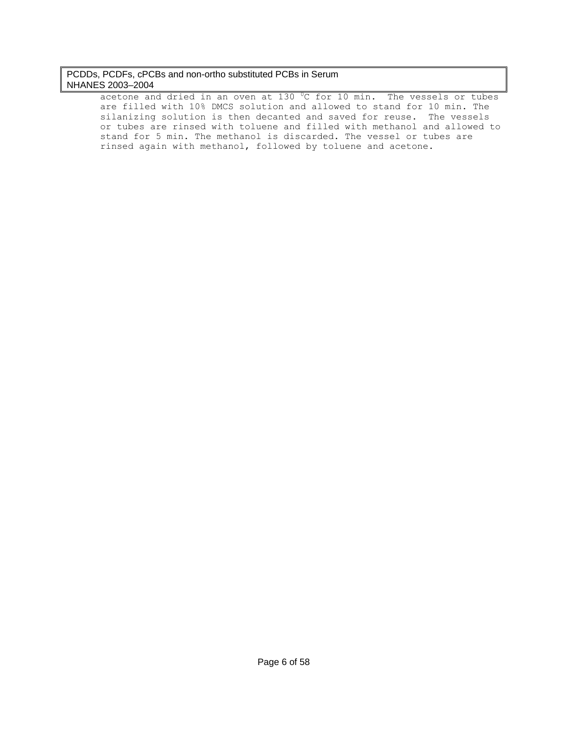acetone and dried in an oven at 130  $^0$ C for 10 min. The vessels or tubes are filled with 10% DMCS solution and allowed to stand for 10 min. The silanizing solution is then decanted and saved for reuse. The vessels or tubes are rinsed with toluene and filled with methanol and allowed to stand for 5 min. The methanol is discarded. The vessel or tubes are rinsed again with methanol, followed by toluene and acetone.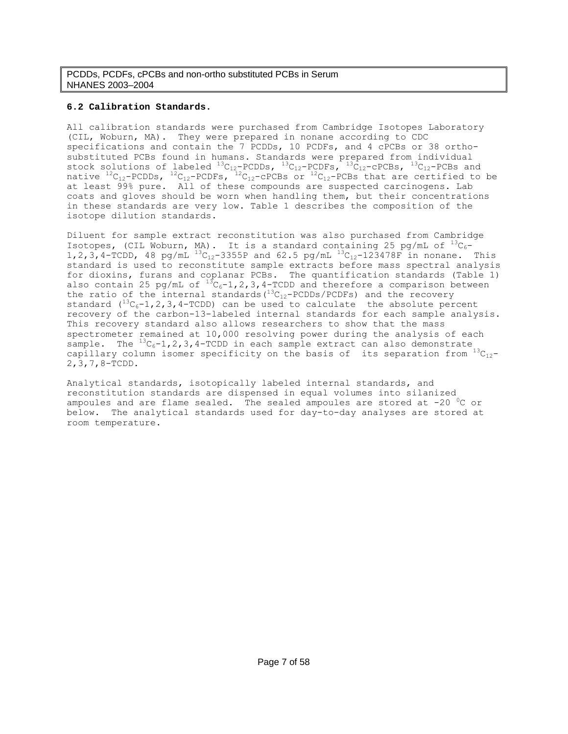# **6.2 Calibration Standards.**

All calibration standards were purchased from Cambridge Isotopes Laboratory (CIL, Woburn, MA). They were prepared in nonane according to CDC specifications and contain the 7 PCDDs, 10 PCDFs, and 4 cPCBs or 38 orthosubstituted PCBs found in humans. Standards were prepared from individual stock solutions of labeled  $^{13}C_{12}$ -PCDDs,  $^{13}C_{12}$ -PCDFs,  $^{13}C_{12}$ -cPCBs,  $^{13}C_{12}$ -PCBs and native  $^{12}$ C<sub>12</sub>-PCDDs,  $^{12}$ C<sub>12</sub>-PCDFs,  $^{12}$ C<sub>12</sub>-CPCBs or  $^{12}$ C<sub>12</sub>-PCBs that are certified to be at least 99% pure. All of these compounds are suspected carcinogens. Lab coats and gloves should be worn when handling them, but their concentrations in these standards are very low. Table 1 describes the composition of the isotope dilution standards.

Diluent for sample extract reconstitution was also purchased from Cambridge Isotopes, (CIL Woburn, MA). It is a standard containing 25 pg/mL of  $^{13}C_6$ -1,2,3,4-TCDD, 48 pg/mL  $^{13}C_{12}$ -3355P and 62.5 pg/mL  $^{13}C_{12}$ -123478F in nonane. This standard is used to reconstitute sample extracts before mass spectral analysis for dioxins, furans and coplanar PCBs. The quantification standards (Table 1) also contain 25 pg/mL of  $^{13}C_6-1$ , 2, 3, 4-TCDD and therefore a comparison between the ratio of the internal standards  $(^{13}C_{12}-PCDDs/PCDFs)$  and the recovery standard  $({}^{13}C_6-1, 2, 3, 4-TCDD)$  can be used to calculate the absolute percent recovery of the carbon-13-labeled internal standards for each sample analysis. This recovery standard also allows researchers to show that the mass spectrometer remained at 10,000 resolving power during the analysis of each sample. The  ${}^{13}C_6-1$ , 2, 3, 4-TCDD in each sample extract can also demonstrate capillary column isomer specificity on the basis of its separation from  $^{13}C_{12}$ -2,3,7,8-TCDD.

Analytical standards, isotopically labeled internal standards, and reconstitution standards are dispensed in equal volumes into silanized ampoules and are flame sealed. The sealed ampoules are stored at  $-20$  <sup>o</sup>C or below. The analytical standards used for day-to-day analyses are stored at room temperature.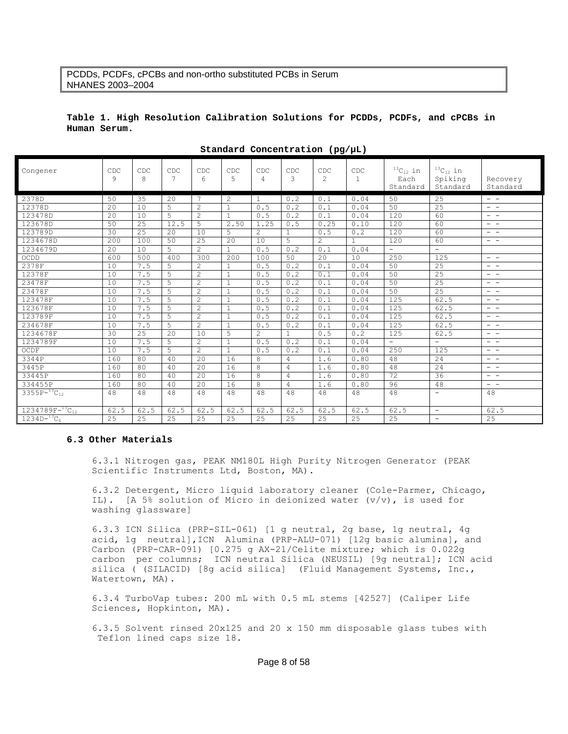### **Table 1. High Resolution Calibration Solutions for PCDDs, PCDFs, and cPCBs in Human Serum.**

| Congener                 | CDC<br>9 | CDC<br>8 | CDC<br>7     | CDC<br>6       | CDC<br>5     | CDC<br>4       | CDC<br>3     | CDC<br>$\mathcal{L}$ | CDC<br>$\mathbf{1}$ | $^{13} \mathrm{C}_{12}$ in<br>Each<br>Standard | $^{13}C_{12}$ in<br>Spiking<br>Standard | Recovery<br>Standard |
|--------------------------|----------|----------|--------------|----------------|--------------|----------------|--------------|----------------------|---------------------|------------------------------------------------|-----------------------------------------|----------------------|
| 2378D                    | 50       | 35       | 20           | 7              | 2            | $\mathbf{1}$   | 0.2          | 0.1                  | 0.04                | 50                                             | 25                                      | $ -$                 |
| 12378D                   | 2.0      | 10       | 5            | 2              | $\mathbf{1}$ | 0.5            | 0.2          | 0.1                  | 0.04                | 50                                             | 25                                      | $ -$                 |
| 123478D                  | 20       | 10       | 5            | $\overline{c}$ | $\mathbf{1}$ | 0.5            | 0.2          | 0.1                  | 0.04                | 120                                            | 60                                      | $ -$                 |
| 123678D                  | 50       | 25       | 12.5         | 5              | 2.50         | 1.25           | 0.5          | 0.25                 | 0.10                | 120                                            | 60                                      | $\qquad \qquad -$    |
| 123789D                  | 30       | 25       | 20           | 10             | 5            | 2              | $\mathbf{1}$ | 0.5                  | 0.2                 | 120                                            | 60                                      | $\qquad \qquad -$    |
| 1234678D                 | 200      | 100      | 50           | 25             | 20           | 10             | 5            | $\mathbf{2}$         | 1                   | 120                                            | 60                                      | $ -$                 |
| 1234679D                 | 20       | 10       | 5            | 2              | $\mathbf{1}$ | 0.5            | 0.2          | 0.1                  | 0.04                | $\overline{\phantom{a}}$                       | $\overline{\phantom{a}}$                |                      |
| OCDD                     | 600      | 500      | 400          | 300            | 200          | 100            | 50           | 20                   | 10                  | 250                                            | 125                                     | $ -$                 |
| 2378F                    | 10       | 7.5      | 5            | 2              | $\mathbf{1}$ | 0.5            | 0.2          | 0.1                  | 0.04                | 50                                             | 25                                      | $ -$                 |
| 12378F                   | 10       | 7.5      | 5            | $\overline{2}$ | $\mathbf{1}$ | 0.5            | 0.2          | 0.1                  | 0.04                | 50                                             | 25                                      | $ -$                 |
| 23478F                   | 10       | 7.5      | 5            | 2              | $\mathbf{1}$ | 0.5            | 0.2          | 0.1                  | 0.04                | 50                                             | 25                                      | $ -$                 |
| 23478F                   | 10       | 7.5      | 5            | 2              | $\mathbf{1}$ | 0.5            | 0.2          | 0.1                  | 0.04                | 50                                             | 25                                      | $ -$                 |
| 123478F                  | 10       | 7.5      | 5            | $\overline{2}$ | $1\,$        | 0.5            | 0.2          | 0.1                  | 0.04                | 125                                            | 62.5                                    | $ -$                 |
| 123678F                  | 10       | 7.5      | 5            | 2              | $\mathbf{1}$ | 0.5            | 0.2          | 0.1                  | 0.04                | 125                                            | 62.5                                    | $ -$                 |
| 123789F                  | 10       | 7.5      | 5            | 2              | $\mathbf{1}$ | 0.5            | 0.2          | 0.1                  | 0.04                | 125                                            | 62.5                                    | $ -$                 |
| 234678F                  | 10       | 7.5      | 5            | $\overline{2}$ | $1\,$        | 0.5            | 0.2          | 0.1                  | 0.04                | 125                                            | 62.5                                    | $ -$                 |
| 1234678F                 | 30       | 25       | $20^{\circ}$ | 10             | 5            | $\mathfrak{D}$ | $\mathbf{1}$ | 0.5                  | 0.2                 | 125                                            | 62.5                                    | $ -$                 |
| 1234789F                 | 10       | 7.5      | 5            | 2              | $\mathbf{1}$ | 0.5            | 0.2          | 0.1                  | 0.04                | $\equiv$                                       | $\equiv$                                | $ -$                 |
| OCDF                     | 10       | 7.5      | 5            | $\mathbf{2}$   | $\mathbf{1}$ | 0.5            | 0.2          | 0.1                  | 0.04                | 250                                            | 125                                     | $ -$                 |
| 3344P                    | 160      | 80       | 40           | 20             | 16           | 8              | 4            | 1.6                  | 0.80                | 48                                             | 24                                      | $ -$                 |
| 3445P                    | 160      | 80       | 40           | 2.0            | 16           | 8              | 4            | 1.6                  | 0.80                | 48                                             | 24                                      | $ -$                 |
| 33445P                   | 160      | 80       | 40           | 20             | 16           | 8              | 4            | 1.6                  | 0.80                | 72                                             | 36                                      | $ -$                 |
| 334455P                  | 160      | 80       | 40           | 20             | 16           | 8              | 4            | 1.6                  | 0.80                | 96                                             | 48                                      | $ -$                 |
| $3355P-^{13}C_{12}$      | 48       | 48       | 48           | 48             | 48           | 48             | 48           | 48                   | 48                  | 48                                             | $\equiv$                                | 48                   |
| $1234789F-{}^{13}C_{12}$ | 62.5     | 62.5     | 62.5         | 62.5           | 62.5         | 62.5           | 62.5         | 62.5                 | 62.5                | 62.5                                           | $\overline{\phantom{a}}$                | 62.5                 |
| $1234D^{-13}C_6$         | 2.5      | 2.5      | 2.5          | 2.5            | 2.5          | 2.5            | 2.5          | 2.5                  | 2.5                 | 25                                             | $\equiv$                                | 25                   |

**Standard Concentration (pg/µL)** 

#### **6.3 Other Materials**

6.3.1 Nitrogen gas, PEAK NM180L High Purity Nitrogen Generator (PEAK Scientific Instruments Ltd, Boston, MA).

6.3.2 Detergent, Micro liquid laboratory cleaner (Cole-Parmer, Chicago, IL). [A 5% solution of Micro in deionized water (v/v), is used for washing glassware]

6.3.3 ICN Silica (PRP-SIL-061) [1 g neutral, 2g base, 1g neutral, 4g acid, 1g neutral],ICN Alumina (PRP-ALU-071) [12g basic alumina], and Carbon (PRP-CAR-091) [0.275 g AX-21/Celite mixture; which is 0.022g carbon per columns; ICN neutral Silica (NEUSIL) [9g neutral]; ICN acid silica ( (SILACID) [8g acid silica] (Fluid Management Systems, Inc., Watertown, MA).

6.3.4 TurboVap tubes: 200 mL with 0.5 mL stems [42527] (Caliper Life Sciences, Hopkinton, MA).

6.3.5 Solvent rinsed 20x125 and 20 x 150 mm disposable glass tubes with Teflon lined caps size 18.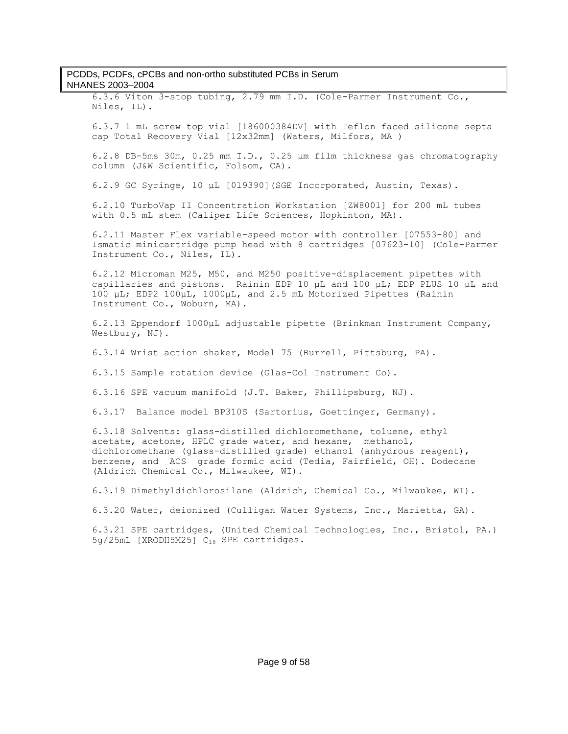6.3.6 Viton 3-stop tubing, 2.79 mm I.D. (Cole-Parmer Instrument Co., Niles, IL).

6.3.7 1 mL screw top vial [186000384DV] with Teflon faced silicone septa cap Total Recovery Vial [12x32mm] (Waters, Milfors, MA )

6.2.8 DB-5ms 30m, 0.25 mm I.D., 0.25 μm film thickness gas chromatography column (J&W Scientific, Folsom, CA).

6.2.9 GC Syringe, 10 μL [019390](SGE Incorporated, Austin, Texas).

6.2.10 TurboVap II Concentration Workstation [ZW8001] for 200 mL tubes with 0.5 mL stem (Caliper Life Sciences, Hopkinton, MA).

6.2.11 Master Flex variable-speed motor with controller [07553-80] and Ismatic minicartridge pump head with 8 cartridges [07623-10] (Cole-Parmer Instrument Co., Niles, IL).

6.2.12 Microman M25, M50, and M250 positive-displacement pipettes with capillaries and pistons. Rainin EDP 10 µL and 100 µL; EDP PLUS 10 µL and 100 μL; EDP2 100μL, 1000μL, and 2.5 mL Motorized Pipettes (Rainin Instrument Co., Woburn, MA).

6.2.13 Eppendorf 1000μL adjustable pipette (Brinkman Instrument Company, Westbury, NJ).

6.3.14 Wrist action shaker, Model 75 (Burrell, Pittsburg, PA).

6.3.15 Sample rotation device (Glas-Col Instrument Co).

6.3.16 SPE vacuum manifold (J.T. Baker, Phillipsburg, NJ).

6.3.17 Balance model BP310S (Sartorius, Goettinger, Germany).

6.3.18 Solvents: glass-distilled dichloromethane, toluene, ethyl acetate, acetone, HPLC grade water, and hexane, methanol, dichloromethane (glass-distilled grade) ethanol (anhydrous reagent), benzene, and ACS grade formic acid (Tedia, Fairfield, OH). Dodecane (Aldrich Chemical Co., Milwaukee, WI).

6.3.19 Dimethyldichlorosilane (Aldrich, Chemical Co., Milwaukee, WI).

6.3.20 Water, deionized (Culligan Water Systems, Inc., Marietta, GA).

6.3.21 SPE cartridges, (United Chemical Technologies, Inc., Bristol, PA.) 5g/25mL [XRODH5M25] C<sub>18</sub> SPE cartridges.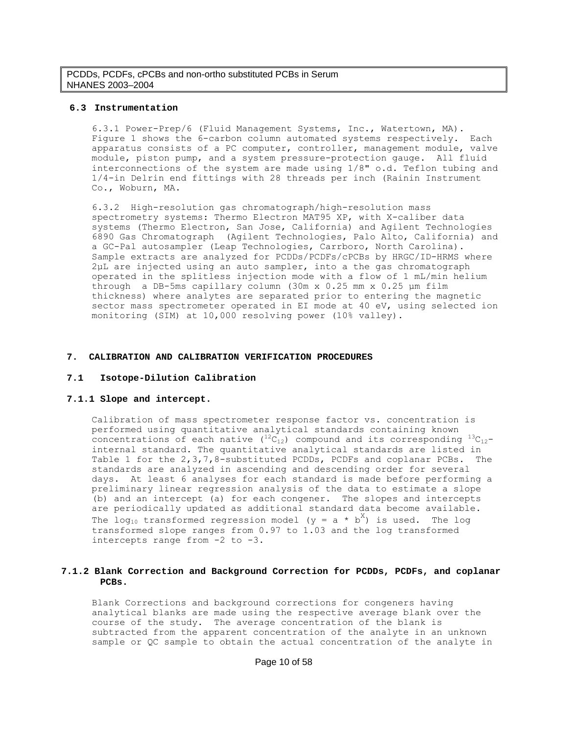#### **6.3 Instrumentation**

6.3.1 Power-Prep/6 (Fluid Management Systems, Inc., Watertown, MA). Figure 1 shows the 6-carbon column automated systems respectively. Each apparatus consists of a PC computer, controller, management module, valve module, piston pump, and a system pressure-protection gauge. All fluid interconnections of the system are made using 1/8" o.d. Teflon tubing and 1/4-in Delrin end fittings with 28 threads per inch (Rainin Instrument Co., Woburn, MA.

6.3.2 High-resolution gas chromatograph/high-resolution mass spectrometry systems: Thermo Electron MAT95 XP, with X-caliber data systems (Thermo Electron, San Jose, California) and Agilent Technologies 6890 Gas Chromatograph (Agilent Technologies, Palo Alto, California) and a GC-Pal autosampler (Leap Technologies, Carrboro, North Carolina). Sample extracts are analyzed for PCDDs/PCDFs/cPCBs by HRGC/ID-HRMS where 2µL are injected using an auto sampler, into a the gas chromatograph operated in the splitless injection mode with a flow of 1 mL/min helium through a DB-5ms capillary column (30m x 0.25 mm x 0.25 μm film thickness) where analytes are separated prior to entering the magnetic sector mass spectrometer operated in EI mode at 40 eV, using selected ion monitoring (SIM) at 10,000 resolving power (10% valley).

#### **7. CALIBRATION AND CALIBRATION VERIFICATION PROCEDURES**

#### **7.1 Isotope-Dilution Calibration**

#### **7.1.1 Slope and intercept.**

Calibration of mass spectrometer response factor vs. concentration is performed using quantitative analytical standards containing known concentrations of each native  $(1^2C_{12})$  compound and its corresponding  $1^3C_{12}$ internal standard. The quantitative analytical standards are listed in Table 1 for the 2,3,7,8-substituted PCDDs, PCDFs and coplanar PCBs. The standards are analyzed in ascending and descending order for several days. At least 6 analyses for each standard is made before performing a preliminary linear regression analysis of the data to estimate a slope (b) and an intercept (a) for each congener. The slopes and intercepts are periodically updated as additional standard data become available. The log<sub>10</sub> transformed regression model ( $y = a * b^X$ ) is used. The log transformed slope ranges from 0.97 to 1.03 and the log transformed intercepts range from -2 to -3.

#### **7.1.2 Blank Correction and Background Correction for PCDDs, PCDFs, and coplanar PCBs.**

Blank Corrections and background corrections for congeners having analytical blanks are made using the respective average blank over the course of the study. The average concentration of the blank is subtracted from the apparent concentration of the analyte in an unknown sample or QC sample to obtain the actual concentration of the analyte in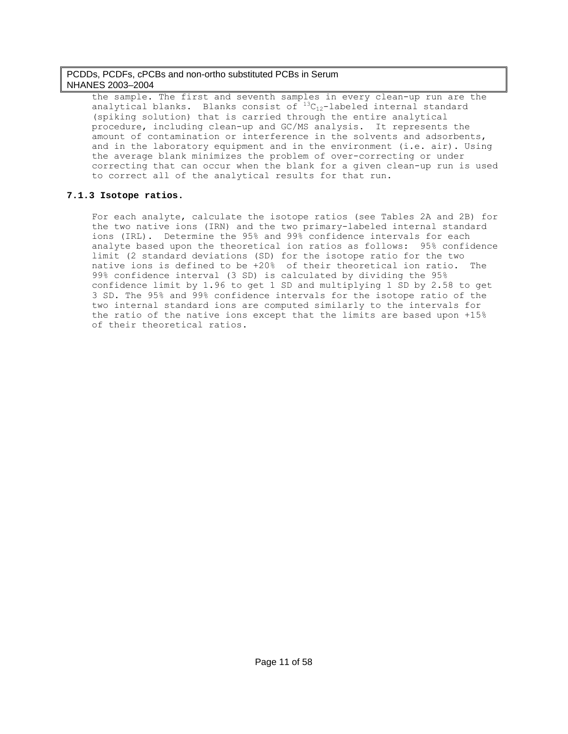the sample. The first and seventh samples in every clean-up run are the analytical blanks. Blanks consist of  ${}^{13}C_{12}$ -labeled internal standard (spiking solution) that is carried through the entire analytical procedure, including clean-up and GC/MS analysis. It represents the amount of contamination or interference in the solvents and adsorbents, and in the laboratory equipment and in the environment (i.e. air). Using the average blank minimizes the problem of over-correcting or under correcting that can occur when the blank for a given clean-up run is used to correct all of the analytical results for that run.

## **7.1.3 Isotope ratios.**

For each analyte, calculate the isotope ratios (see Tables 2A and 2B) for the two native ions (IRN) and the two primary-labeled internal standard ions (IRL). Determine the 95% and 99% confidence intervals for each analyte based upon the theoretical ion ratios as follows: 95% confidence limit (2 standard deviations (SD) for the isotope ratio for the two native ions is defined to be +20% of their theoretical ion ratio. The 99% confidence interval (3 SD) is calculated by dividing the 95% confidence limit by 1.96 to get 1 SD and multiplying 1 SD by 2.58 to get 3 SD. The 95% and 99% confidence intervals for the isotope ratio of the two internal standard ions are computed similarly to the intervals for the ratio of the native ions except that the limits are based upon +15% of their theoretical ratios.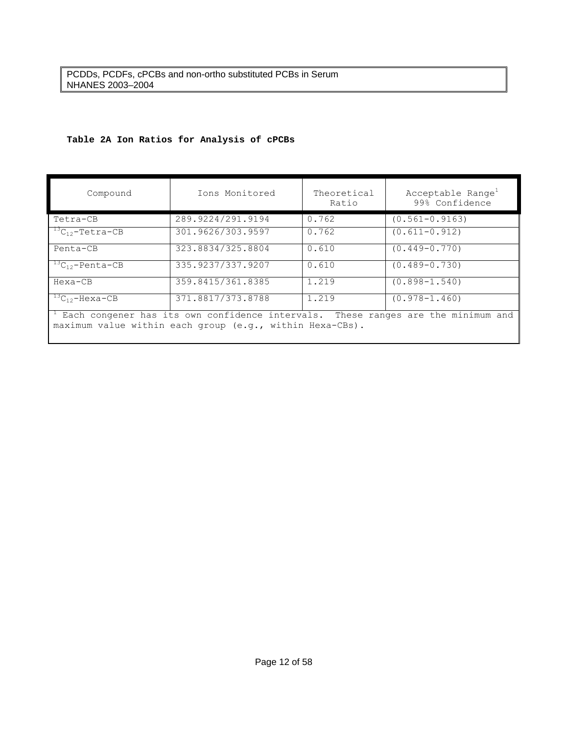# **Table 2A Ion Ratios for Analysis of cPCBs**

| Compound                  | Ions Monitored    | Theoretical<br>Ratio | Acceptable Range <sup>1</sup><br>99% Confidence |
|---------------------------|-------------------|----------------------|-------------------------------------------------|
| Tetra-CB                  | 289.9224/291.9194 | 0.762                | $(0.561 - 0.9163)$                              |
| $^{13}C_{12}$ -Tetra-CB   | 301.9626/303.9597 | 0.762                | $(0.611 - 0.912)$                               |
| Penta-CB                  | 323.8834/325.8804 | 0.610                | $(0.449 - 0.770)$                               |
| ${}^{13}C_{12}$ -Penta-CB | 335.9237/337.9207 | 0.610                | $(0.489 - 0.730)$                               |
| Hexa-CB                   | 359.8415/361.8385 | 1.219                | $(0.898 - 1.540)$                               |
| $^{13}C_{12}$ -Hexa-CB    | 371.8817/373.8788 | 1.219                | $(0.978 - 1.460)$                               |

1 Each congener has its own confidence intervals. These ranges are the minimum and maximum value within each group (e.g., within Hexa-CBs).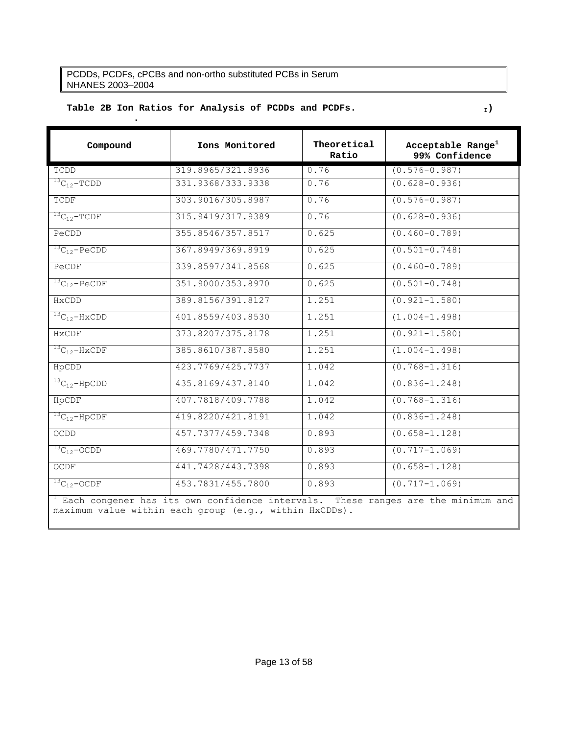**.** 

# Table 2B Ion Ratios for Analysis of PCDDs and PCDFs.

| Compound                        | Ions Monitored                                                                              | Theoretical<br>Ratio | Acceptable Range <sup>1</sup><br>99% Confidence |
|---------------------------------|---------------------------------------------------------------------------------------------|----------------------|-------------------------------------------------|
| TCDD                            | 319.8965/321.8936                                                                           | 0.76                 | $(0.576 - 0.987)$                               |
| ${}^{13}C_{12}$ -TCDD           | 331.9368/333.9338                                                                           | 0.76                 | $(0.628 - 0.936)$                               |
| TCDF                            | 303.9016/305.8987                                                                           | 0.76                 | $(0.576 - 0.987)$                               |
| ${}^{13}C_{12}$ -TCDF           | 315.9419/317.9389                                                                           | 0.76                 | $(0.628 - 0.936)$                               |
| PeCDD                           | 355.8546/357.8517                                                                           | 0.625                | $(0.460 - 0.789)$                               |
| ${}^{13}C_{12}$ -PeCDD          | 367.8949/369.8919                                                                           | 0.625                | $(0.501 - 0.748)$                               |
| PeCDF                           | 339.8597/341.8568                                                                           | 0.625                | $(0.460 - 0.789)$                               |
| ${}^{13}C_{12}$ -PeCDF          | 351.9000/353.8970                                                                           | 0.625                | $(0.501 - 0.748)$                               |
| HxCDD                           | 389.8156/391.8127                                                                           | 1.251                | $(0.921 - 1.580)$                               |
| ${}^{13}C_{12}$ -HxCDD          | 401.8559/403.8530                                                                           | 1.251                | $(1.004 - 1.498)$                               |
| HxCDF                           | 373.8207/375.8178                                                                           | 1.251                | $(0.921 - 1.580)$                               |
| $^{13}$ C <sub>12</sub> -HxCDF  | 385.8610/387.8580                                                                           | 1.251                | $(1.004 - 1.498)$                               |
| HpCDD                           | 423.7769/425.7737                                                                           | 1.042                | $(0.768 - 1.316)$                               |
| ${}^{13}C_{12}$ -HpCDD          | 435.8169/437.8140                                                                           | 1.042                | $(0.836 - 1.248)$                               |
| HpCDF                           | 407.7818/409.7788                                                                           | 1.042                | $(0.768 - 1.316)$                               |
| $^{13}C_{12}$ -HpCDF            | 419.8220/421.8191                                                                           | 1.042                | $(0.836 - 1.248)$                               |
| OCDD                            | 457.7377/459.7348                                                                           | 0.893                | $(0.658 - 1.128)$                               |
| ${}^{13}C_{12}$ -OCDD           | 469.7780/471.7750                                                                           | 0.893                | $(0.717 - 1.069)$                               |
| OCDF                            | 441.7428/443.7398                                                                           | 0.893                | $(0.658 - 1.128)$                               |
| ${}^{13}$ C <sub>12</sub> -OCDF | 453.7831/455.7800                                                                           | 0.893                | $(0.717 - 1.069)$                               |
|                                 | $^{\perp}$ Each congener has its own confidence intervals. These ranges are the minimum and |                      |                                                 |

 Each congener has its own confidence intervals. These ranges are the minimum and maximum value within each group (e.g., within HxCDDs).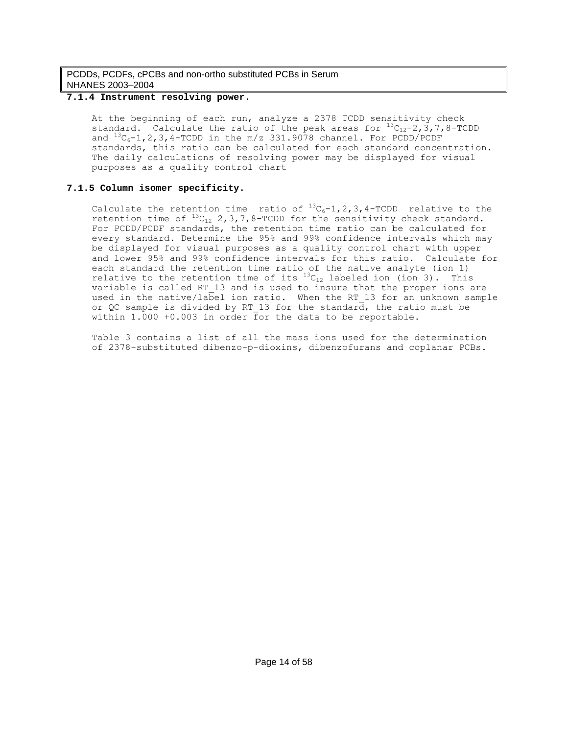### **7.1.4 Instrument resolving power.**

At the beginning of each run, analyze a 2378 TCDD sensitivity check standard. Calculate the ratio of the peak areas for  ${}^{13}C_{12}-2$ , 3,7,8-TCDD and  ${}^{13}C_6-1$ , 2, 3, 4-TCDD in the m/z 331.9078 channel. For PCDD/PCDF standards, this ratio can be calculated for each standard concentration. The daily calculations of resolving power may be displayed for visual purposes as a quality control chart

### **7.1.5 Column isomer specificity.**

Calculate the retention time ratio of  $^{13}C_6-1$ , 2, 3, 4-TCDD relative to the retention time of  $^{13}C_{12}$  2, 3, 7, 8-TCDD for the sensitivity check standard. For PCDD/PCDF standards, the retention time ratio can be calculated for every standard. Determine the 95% and 99% confidence intervals which may be displayed for visual purposes as a quality control chart with upper and lower 95% and 99% confidence intervals for this ratio. Calculate for each standard the retention time ratio of the native analyte (ion 1) relative to the retention time of its  ${}^{13}C_{12}$  labeled ion (ion 3). This variable is called RT\_13 and is used to insure that the proper ions are used in the native/label ion ratio. When the RT 13 for an unknown sample or QC sample is divided by RT 13 for the standard, the ratio must be within 1.000 +0.003 in order for the data to be reportable.

Table 3 contains a list of all the mass ions used for the determination of 2378-substituted dibenzo-p-dioxins, dibenzofurans and coplanar PCBs.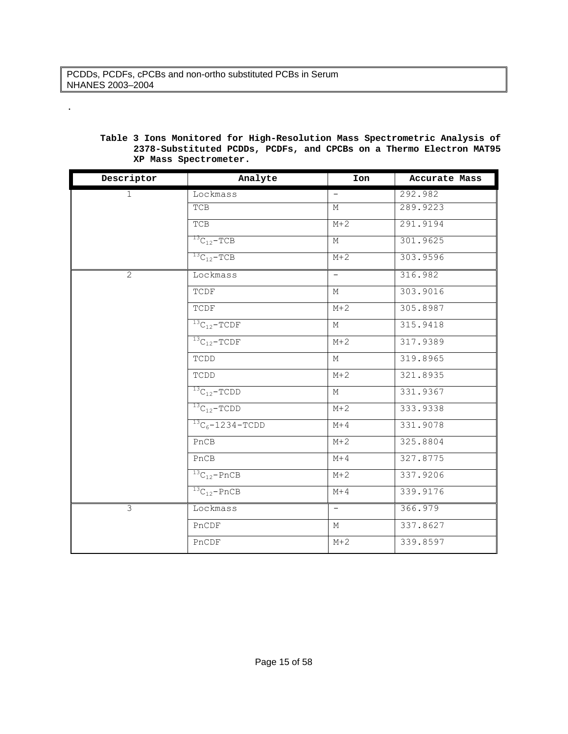.

| Descriptor     | Analyte               | Ion                      | Accurate Mass |
|----------------|-----------------------|--------------------------|---------------|
| $\mathbf{1}$   | Lockmass              | $\overline{\phantom{0}}$ | 292.982       |
|                | TCB                   | М                        | 289.9223      |
|                | <b>TCB</b>            | $M+2$                    | 291.9194      |
|                | ${}^{13}C_{12}$ -TCB  | М                        | 301.9625      |
|                | ${}^{13}C_{12}$ -TCB  | $M+2$                    | 303.9596      |
| 2              | Lockmass              | $\overline{\phantom{0}}$ | 316.982       |
|                | TCDF                  | М                        | 303.9016      |
|                | TCDF                  | $M+2$                    | 305.8987      |
|                | ${}^{13}C_{12}$ -TCDF | М                        | 315.9418      |
|                | ${}^{13}C_{12}$ -TCDF | $M+2$                    | 317.9389      |
|                | TCDD                  | М                        | 319.8965      |
|                | TCDD                  | $M+2$                    | 321.8935      |
|                | ${}^{13}C_{12}$ -TCDD | М                        | 331.9367      |
|                | $^{13}C_{12}$ -TCDD   | $M+2$                    | 333.9338      |
|                | $13C_6 - 1234 - TCDD$ | $M+4$                    | 331.9078      |
|                | PnCB                  | $M+2$                    | 325.8804      |
|                | PnCB                  | $M+4$                    | 327.8775      |
|                | $13C_{12}$ -PnCB      | $M+2$                    | 337.9206      |
|                | ${}^{13}C_{12}$ -PnCB | $M+4$                    | 339.9176      |
| $\overline{3}$ | Lockmass              | $\overline{\phantom{0}}$ | 366.979       |
|                | PnCDF                 | $M_{\odot}$              | 337.8627      |
|                | PnCDF                 | $M+2$                    | 339.8597      |

# **Table 3 Ions Monitored for High-Resolution Mass Spectrometric Analysis of 2378-Substituted PCDDs, PCDFs, and CPCBs on a Thermo Electron MAT95 XP Mass Spectrometer.**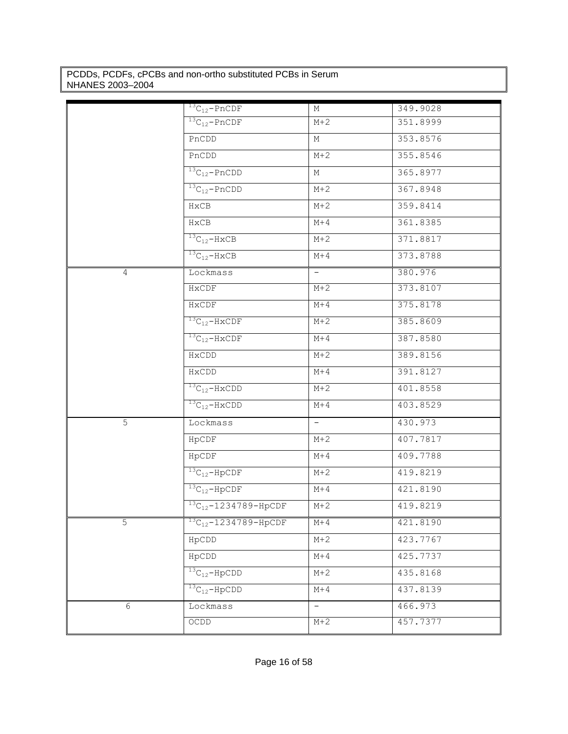|                | $^{13}C_{12}$ -PnCDF            | М      | 349.9028 |
|----------------|---------------------------------|--------|----------|
|                | $^{13}C_{12}$ -PnCDF            | $M+2$  | 351.8999 |
|                | PnCDD                           | М      | 353.8576 |
|                | PnCDD                           | $M+2$  | 355.8546 |
|                | $^{13}C_{12}$ -PnCDD            | М      | 365.8977 |
|                | $^{13}C_{12}$ -PnCDD            | $M+2$  | 367.8948 |
|                | HxCB                            | $M+2$  | 359.8414 |
|                | HxCB                            | $M+4$  | 361.8385 |
|                | $\frac{13}{13}C_{12}$ -HxCB     | $M+2$  | 371.8817 |
|                | $^{13}C_{12}$ -HxCB             | M+4    | 373.8788 |
| $\overline{4}$ | Lockmass                        | $\sim$ | 380.976  |
|                | HXCDF                           | $M+2$  | 373.8107 |
|                | HxCDF                           | M+4    | 375.8178 |
|                | $^{13}C_{12}$ -HxCDF            | $M+2$  | 385.8609 |
|                | $^{13}C_{12}$ -HxCDF            | $M+4$  | 387.8580 |
|                | HxCDD                           | $M+2$  | 389.8156 |
|                | HxCDD                           | M+4    | 391.8127 |
|                | $^{13}C_{12}$ -HxCDD            | $M+2$  | 401.8558 |
|                | $^{13}C_{12}$ -HxCDD            | $M+4$  | 403.8529 |
| 5              | Lockmass                        | $-$    | 430.973  |
|                | HpCDF                           | $M+2$  | 407.7817 |
|                | HpCDF                           | $M+4$  | 409.7788 |
|                | $13C_{12} - HpCDF$              | $M+2$  | 419.8219 |
|                | $13C_{12} - HpCDF$              | $M+4$  | 421.8190 |
|                | $13C_{12}-1234789 - HpCDF$      | $M+2$  | 419.8219 |
| 5              | $^{13}C_{12} - 1234789 -$ HpCDF | $M+4$  | 421.8190 |
|                | HpCDD                           | $M+2$  | 423.7767 |
|                | HpCDD                           | $M+4$  | 425.7737 |
|                | ${}^{13}C_{12}$ -HpCDD          | $M+2$  | 435.8168 |
|                | $^{13}C_{12}$ -HpCDD            | $M+4$  | 437.8139 |
| 6              | Lockmass                        | $-$    | 466.973  |
|                | OCDD                            | $M+2$  | 457.7377 |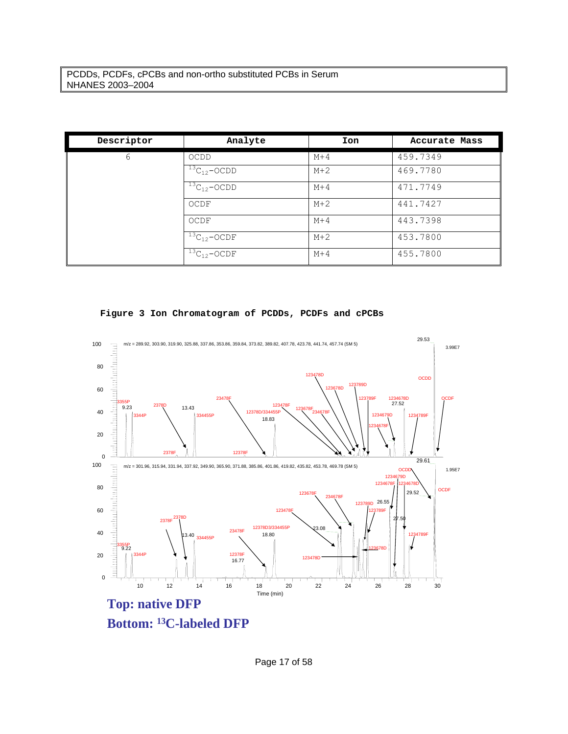| Descriptor | Analyte               | Ion   | Accurate Mass |
|------------|-----------------------|-------|---------------|
| 6          | OCDD                  | $M+4$ | 459.7349      |
|            | ${}^{13}C_{12}$ -OCDD | $M+2$ | 469.7780      |
|            | ${}^{13}C_{12}$ -OCDD | $M+4$ | 471.7749      |
|            | OCDF                  | $M+2$ | 441.7427      |
|            | OCDF                  | $M+4$ | 443.7398      |
|            | ${}^{13}C_{12}$ -OCDF | $M+2$ | 453.7800      |
|            | $13C_{12} - OCDF$     | $M+4$ | 455.7800      |





Page 17 of 58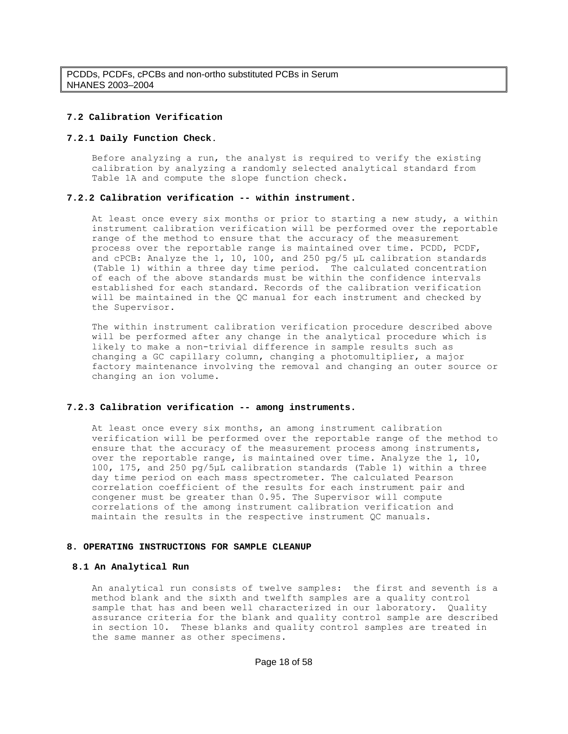### **7.2 Calibration Verification**

#### **7.2.1 Daily Function Check**.

Before analyzing a run, the analyst is required to verify the existing calibration by analyzing a randomly selected analytical standard from Table 1A and compute the slope function check.

#### **7.2.2 Calibration verification -- within instrument.**

At least once every six months or prior to starting a new study, a within instrument calibration verification will be performed over the reportable range of the method to ensure that the accuracy of the measurement process over the reportable range is maintained over time. PCDD, PCDF, and cPCB: Analyze the 1, 10, 100, and 250 pg/5 μL calibration standards (Table 1) within a three day time period. The calculated concentration of each of the above standards must be within the confidence intervals established for each standard. Records of the calibration verification will be maintained in the QC manual for each instrument and checked by the Supervisor.

The within instrument calibration verification procedure described above will be performed after any change in the analytical procedure which is likely to make a non-trivial difference in sample results such as changing a GC capillary column, changing a photomultiplier, a major factory maintenance involving the removal and changing an outer source or changing an ion volume.

#### **7.2.3 Calibration verification -- among instruments.**

At least once every six months, an among instrument calibration verification will be performed over the reportable range of the method to ensure that the accuracy of the measurement process among instruments, over the reportable range, is maintained over time. Analyze the 1, 10, 100, 175, and 250 pg/5μL calibration standards (Table 1) within a three day time period on each mass spectrometer. The calculated Pearson correlation coefficient of the results for each instrument pair and congener must be greater than 0.95. The Supervisor will compute correlations of the among instrument calibration verification and maintain the results in the respective instrument QC manuals.

#### **8. OPERATING INSTRUCTIONS FOR SAMPLE CLEANUP**

#### **8.1 An Analytical Run**

An analytical run consists of twelve samples: the first and seventh is a method blank and the sixth and twelfth samples are a quality control sample that has and been well characterized in our laboratory. Quality assurance criteria for the blank and quality control sample are described in section 10. These blanks and quality control samples are treated in the same manner as other specimens.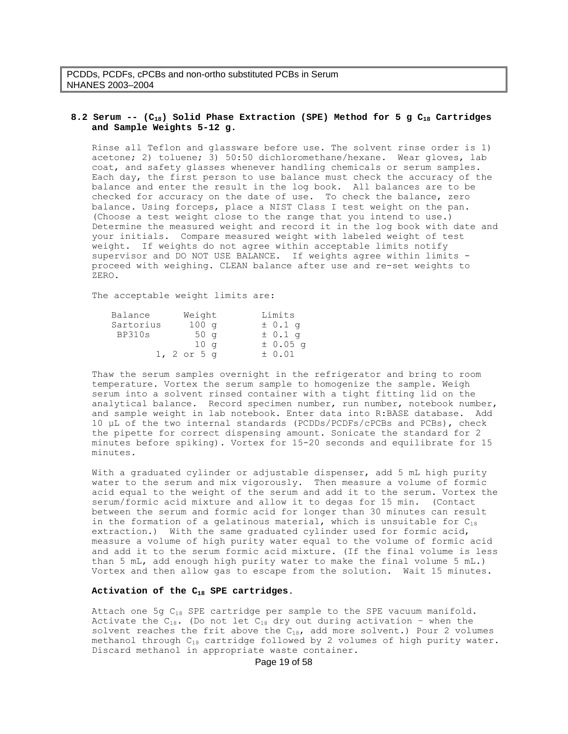### **8.2 Serum -- (C18) Solid Phase Extraction (SPE) Method for 5 g C18 Cartridges and Sample Weights 5-12 g.**

Rinse all Teflon and glassware before use. The solvent rinse order is 1) acetone; 2) toluene; 3) 50:50 dichloromethane/hexane. Wear gloves, lab coat, and safety glasses whenever handling chemicals or serum samples. Each day, the first person to use balance must check the accuracy of the balance and enter the result in the log book. All balances are to be checked for accuracy on the date of use. To check the balance, zero balance. Using forceps, place a NIST Class I test weight on the pan. (Choose a test weight close to the range that you intend to use.) Determine the measured weight and record it in the log book with date and your initials. Compare measured weight with labeled weight of test weight. If weights do not agree within acceptable limits notify supervisor and DO NOT USE BALANCE. If weights agree within limits proceed with weighing. CLEAN balance after use and re-set weights to ZERO.

The acceptable weight limits are:

| Balance   | Weight           | Limits      |
|-----------|------------------|-------------|
| Sartorius | 100 <sub>q</sub> | $\pm$ 0.1 q |
| BP310s    | 50q              | $\pm$ 0.1 q |
|           | 10 <sub>q</sub>  | $± 0.05$ q  |
|           | $1, 2$ or $5$ q  | $\pm$ 0.01  |

Thaw the serum samples overnight in the refrigerator and bring to room temperature. Vortex the serum sample to homogenize the sample. Weigh serum into a solvent rinsed container with a tight fitting lid on the analytical balance. Record specimen number, run number, notebook number, and sample weight in lab notebook. Enter data into R:BASE database. Add 10 µL of the two internal standards (PCDDs/PCDFs/cPCBs and PCBs), check the pipette for correct dispensing amount. Sonicate the standard for 2 minutes before spiking). Vortex for 15-20 seconds and equilibrate for 15 minutes.

With a graduated cylinder or adjustable dispenser, add 5 mL high purity water to the serum and mix vigorously. Then measure a volume of formic acid equal to the weight of the serum and add it to the serum. Vortex the serum/formic acid mixture and allow it to degas for 15 min. (Contact between the serum and formic acid for longer than 30 minutes can result in the formation of a gelatinous material, which is unsuitable for  $C_{18}$ extraction.) With the same graduated cylinder used for formic acid, measure a volume of high purity water equal to the volume of formic acid and add it to the serum formic acid mixture. (If the final volume is less than 5 mL, add enough high purity water to make the final volume 5 mL.) Vortex and then allow gas to escape from the solution. Wait 15 minutes.

#### **Activation of the C18 SPE cartridges**.

Attach one 5g C 18 SPE cartridge per sample to the SPE vacuum manifold. Activate the  $C_{18}$ . (Do not let  $C_{18}$  dry out during activation - when the solvent reaches the frit above the  $C_{18}$ , add more solvent.) Pour 2 volumes methanol through  $C_{18}$  cartridge followed by 2 volumes of high purity water. Discard methanol in appropriate waste container.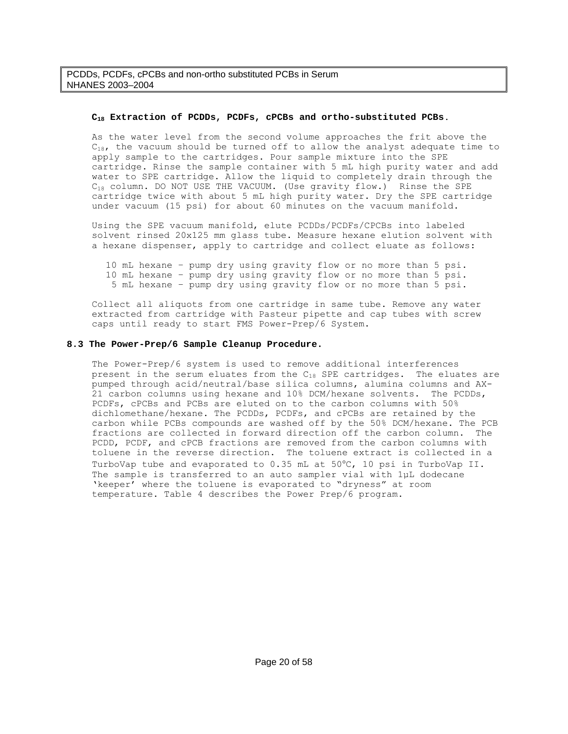### **C18 Extraction of PCDDs, PCDFs, cPCBs and ortho-substituted PCBs**.

As the water level from the second volume approaches the frit above the  $C_{18}$ , the vacuum should be turned off to allow the analyst adequate time to apply sample to the cartridges. Pour sample mixture into the SPE cartridge. Rinse the sample container with 5 mL high purity water and add water to SPE cartridge. Allow the liquid to completely drain through the C18 column. DO NOT USE THE VACUUM. (Use gravity flow.) Rinse the SPE cartridge twice with about 5 mL high purity water. Dry the SPE cartridge under vacuum (15 psi) for about 60 minutes on the vacuum manifold.

Using the SPE vacuum manifold, elute PCDDs/PCDFs/CPCBs into labeled solvent rinsed 20x125 mm glass tube. Measure hexane elution solvent with a hexane dispenser, apply to cartridge and collect eluate as follows:

 10 mL hexane – pump dry using gravity flow or no more than 5 psi. 10 mL hexane – pump dry using gravity flow or no more than 5 psi. 5 mL hexane – pump dry using gravity flow or no more than 5 psi.

Collect all aliquots from one cartridge in same tube. Remove any water extracted from cartridge with Pasteur pipette and cap tubes with screw caps until ready to start FMS Power-Prep/6 System.

#### **8.3 The Power-Prep/6 Sample Cleanup Procedure.**

The Power-Prep/6 system is used to remove additional interferences present in the serum eluates from the  $C_{18}$  SPE cartridges. The eluates are pumped through acid/neutral/base silica columns, alumina columns and AX-21 carbon columns using hexane and 10% DCM/hexane solvents. The PCDDs, PCDFs, cPCBs and PCBs are eluted on to the carbon columns with 50% dichlomethane/hexane. The PCDDs, PCDFs, and cPCBs are retained by the carbon while PCBs compounds are washed off by the 50% DCM/hexane. The PCB fractions are collected in forward direction off the carbon column. The PCDD, PCDF, and cPCB fractions are removed from the carbon columns with toluene in the reverse direction. The toluene extract is collected in a TurboVap tube and evaporated to 0.35 mL at 50°C, 10 psi in TurboVap II. The sample is transferred to an auto sampler vial with 1µL dodecane 'keeper' where the toluene is evaporated to "dryness" at room temperature. Table 4 describes the Power Prep/6 program.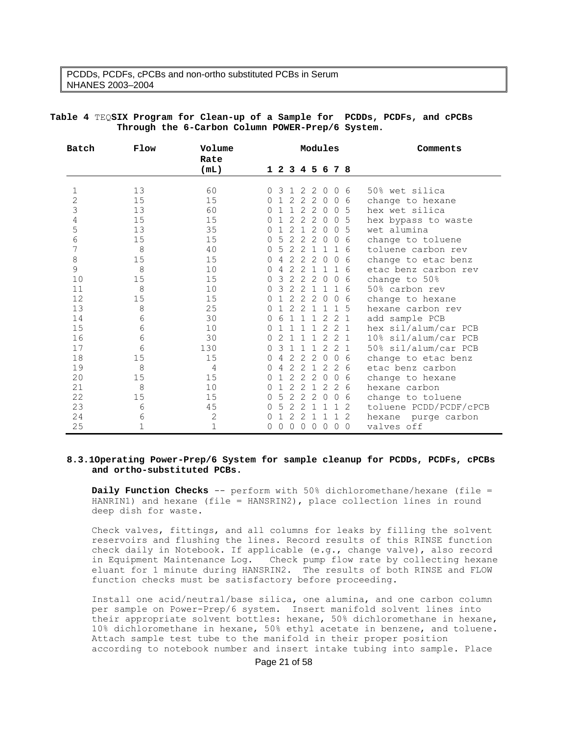| Batch          | Flow        | Volume         |          | Modules        |                |                |                |                | Comments        |                 |                        |
|----------------|-------------|----------------|----------|----------------|----------------|----------------|----------------|----------------|-----------------|-----------------|------------------------|
|                |             | Rate           |          |                |                |                |                |                |                 |                 |                        |
|                |             | (mL)           |          |                |                |                |                |                | 1 2 3 4 5 6 7 8 |                 |                        |
| $\mathbf{1}$   | 13          | 60             |          | 3              | $\mathbf{1}$   | 2              | 2              | $\Omega$       | $\mathbf{0}$    | 6               | 50% wet silica         |
| $\overline{c}$ | 15          | 15             | 0        |                | 2              | 2              | 2              | $\overline{0}$ | $\mathbf 0$     | 6               | change to hexane       |
| 3              | 13          | 60             | 0        |                | $\mathbf{1}$   | 2              | 2              | $\Omega$       | $\Omega$        | - 5             | hex wet silica         |
| 4              | 15          | 15             | 0        |                | 2              | 2              | 2              | $\mathbf{0}$   | $\mathbf{0}$    | -5              | hex bypass to waste    |
| 5              | 13          | 35             | $\Omega$ |                | $\overline{2}$ | $\mathbf{1}$   | 2              | $\Omega$       | $\Omega$        | -5              | wet alumina            |
| 6              | 15          | 15             | 0        | 5              | 2              | 2              | 2              | $\overline{0}$ | $\mathbf{0}$    | 6               | change to toluene      |
| 7              | 8           | 40             | O        | 5              | 2              | -2             | $\overline{1}$ |                | $\mathbf{1}$    | - 6             | toluene carbon rev     |
| 8              | 15          | 15             | $\Omega$ | 4              | $\overline{2}$ | $\overline{2}$ | 2              | $\overline{0}$ | $\Omega$        | 6               | change to etac benz    |
| 9              | 8           | 10             | $\Omega$ | 4              | $\overline{2}$ | 2              | $\overline{1}$ | $\overline{1}$ | $\mathbf{1}$    | -6              | etac benz carbon rev   |
| 10             | 15          | 15             | 0        | 3              | 2              | 2              | 2              | $\overline{0}$ |                 | 0 <sub>6</sub>  | change to 50%          |
| 11             | 8           | 10             | $\Omega$ | 3              | $\overline{2}$ | 2              | $\mathbf{1}$   | $\mathbf{1}$   | $\mathbf{1}$    | -6              | 50% carbon rev         |
| 12             | 15          | 15             | 0        |                | 2              | $\overline{c}$ | 2              | $\overline{0}$ | $\mathbf{0}$    | 6               | change to hexane       |
| 13             | 8           | 25             | $\Omega$ |                | $\overline{2}$ | 2              | $\mathbf{1}$   | 1              |                 | $1\overline{5}$ | hexane carbon rev      |
| 14             | 6           | 30             | 0        |                |                | 1              |                | $1\quad2$      | 2 1             |                 | add sample PCB         |
| 15             | 6           | 10             | $\Omega$ |                | 1              | 1              | $\mathbf{1}$   | 2              | 2 <sub>1</sub>  |                 | hex sil/alum/car PCB   |
| 16             | 6           | 30             | 0        | $\overline{2}$ | $\mathbf{1}$   | 1              | 1              |                | $2 \t2 \t1$     |                 | 10% sil/alum/car PCB   |
| 17             | 6           | 130            | 0        | 3              | 1              | $\mathbf{1}$   | $\mathbf{1}$   | 2              | 2 <sub>1</sub>  |                 | 50% sil/alum/car PCB   |
| 18             | 15          | 15             | 0        | 4              | $\overline{2}$ | 2              | 2              | $\overline{0}$ |                 | 06              | change to etac benz    |
| 19             | 8           | $\overline{4}$ | $\Omega$ | 4              | 2              | 2              | $\mathbf{1}$   | 2              |                 | 2 6             | etac benz carbon       |
| 20             | 15          | 15             | 0        |                | $\overline{2}$ | 2              | 2              | $\overline{0}$ | $\circ$         | 6               | change to hexane       |
| 21             | 8           | $10$           | 0        |                | 2              | 2              | $\mathbf{1}$   | 2              |                 | $2\overline{6}$ | hexane carbon          |
| 22             | 15          | 15             | 0        | 5              | $\mathbf{2}$   | 2              | 2              | $\circ$        | $\circ$         | 6               | change to toluene      |
| 23             | 6           | 45             | 0        | 5              | 2              | 2              | $\mathbf 1$    | 1              | 1               | -2              | toluene PCDD/PCDF/cPCB |
| 24             | 6           | $\mathbf{2}$   | $\Omega$ |                | 2              | 2              | $\mathbf{1}$   | -1             | $\mathbf{1}$    | 2               | hexane purge carbon    |
| 25             | $\mathbf 1$ | $\mathbf{1}$   | 0        | 0              | $\circ$        | $\circ$        | $\circ$        | $\mathbf 0$    | $\circ$         | $\overline{0}$  | valves off             |

### **Table 4** TEQ**SIX Program for Clean-up of a Sample for PCDDs, PCDFs, and cPCBs Through the 6-Carbon Column POWER-Prep/6 System.**

#### **8.3.1Operating Power-Prep/6 System for sample cleanup for PCDDs, PCDFs, cPCBs and ortho-substituted PCBs.**

**Daily Function Checks** -- perform with 50% dichloromethane/hexane (file = HANRIN1) and hexane (file = HANSRIN2), place collection lines in round deep dish for waste.

Check valves, fittings, and all columns for leaks by filling the solvent reservoirs and flushing the lines. Record results of this RINSE function check daily in Notebook. If applicable (e.g., change valve), also record in Equipment Maintenance Log. Check pump flow rate by collecting hexane eluant for 1 minute during HANSRIN2. The results of both RINSE and FLOW function checks must be satisfactory before proceeding.

Install one acid/neutral/base silica, one alumina, and one carbon column per sample on Power-Prep/6 system. Insert manifold solvent lines into their appropriate solvent bottles: hexane, 50% dichloromethane in hexane, 10% dichloromethane in hexane, 50% ethyl acetate in benzene, and toluene. Attach sample test tube to the manifold in their proper position according to notebook number and insert intake tubing into sample. Place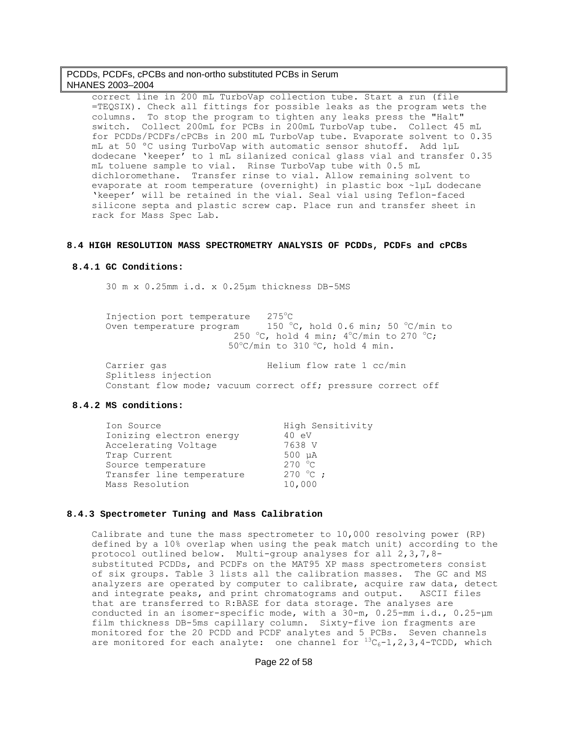correct line in 200 mL TurboVap collection tube. Start a run (file =TEQSIX). Check all fittings for possible leaks as the program wets the columns. To stop the program to tighten any leaks press the "Halt" switch. Collect 200mL for PCBs in 200mL TurboVap tube. Collect 45 mL for PCDDs/PCDFs/cPCBs in 200 mL TurboVap tube. Evaporate solvent to 0.35 mL at 50 ºC using TurboVap with automatic sensor shutoff. Add 1μL dodecane 'keeper' to 1 mL silanized conical glass vial and transfer 0.35 mL toluene sample to vial. Rinse TurboVap tube with 0.5 mL dichloromethane. Transfer rinse to vial. Allow remaining solvent to evaporate at room temperature (overnight) in plastic box ~1μL dodecane 'keeper' will be retained in the vial. Seal vial using Teflon-faced silicone septa and plastic screw cap. Place run and transfer sheet in rack for Mass Spec Lab.

#### **8.4 HIGH RESOLUTION MASS SPECTROMETRY ANALYSIS OF PCDDs, PCDFs and cPCBs**

#### **8.4.1 GC Conditions:**

30 m x 0.25mm i.d. x 0.25μm thickness DB-5MS

| Injection port temperature | 275°C.                                              |
|----------------------------|-----------------------------------------------------|
| Oven temperature program   | 150 °C, hold 0.6 min; 50 °C/min to                  |
|                            | 250 °C, hold 4 min; $4^{\circ}$ C/min to 270 °C;    |
|                            | $50^{\circ}$ C/min to 310 $^{\circ}$ C, hold 4 min. |
|                            |                                                     |
| Carrier gas                | Helium flow rate 1 cc/min                           |

 Splitless injection Constant flow mode; vacuum correct off; pressure correct off

#### **8.4.2 MS conditions:**

| Ion Source                | High Sensitivity |
|---------------------------|------------------|
| Ionizing electron energy  | 40 eV            |
| Accelerating Voltage      | 7638 V           |
| Trap Current              | $500 \mu A$      |
| Source temperature        | 270 °C           |
| Transfer line temperature | $270 °C$ ;       |
| Mass Resolution           | 10,000           |

#### **8.4.3 Spectrometer Tuning and Mass Calibration**

Calibrate and tune the mass spectrometer to 10,000 resolving power (RP) defined by a 10% overlap when using the peak match unit) according to the protocol outlined below. Multi-group analyses for all 2,3,7,8 substituted PCDDs, and PCDFs on the MAT95 XP mass spectrometers consist of six groups. Table 3 lists all the calibration masses. The GC and MS analyzers are operated by computer to calibrate, acquire raw data, detect and integrate peaks, and print chromatograms and output. ASCII files that are transferred to R:BASE for data storage. The analyses are conducted in an isomer-specific mode, with a 30-m, 0.25-mm i.d., 0.25-μm film thickness DB-5ms capillary column. Sixty-five ion fragments are monitored for the 20 PCDD and PCDF analytes and 5 PCBs. Seven channels are monitored for each analyte: one channel for  ${}^{13}C_6-1$ , 2, 3, 4-TCDD, which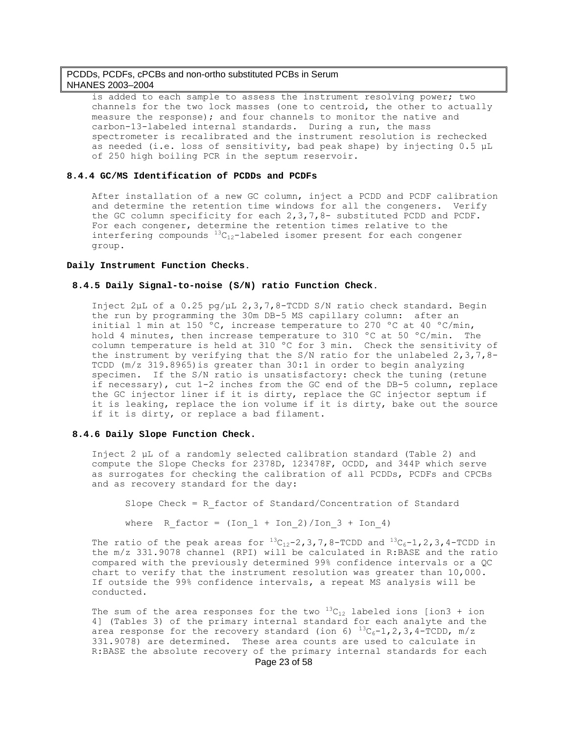is added to each sample to assess the instrument resolving power; two channels for the two lock masses (one to centroid, the other to actually measure the response); and four channels to monitor the native and carbon-13-labeled internal standards. During a run, the mass spectrometer is recalibrated and the instrument resolution is rechecked as needed (i.e. loss of sensitivity, bad peak shape) by injecting 0.5 μL of 250 high boiling PCR in the septum reservoir.

#### **8.4.4 GC/MS Identification of PCDDs and PCDFs**

After installation of a new GC column, inject a PCDD and PCDF calibration and determine the retention time windows for all the congeners. Verify the GC column specificity for each 2,3,7,8- substituted PCDD and PCDF. For each congener, determine the retention times relative to the interfering compounds  ${}^{13}C_{12}$ -labeled isomer present for each congener group.

#### **Daily Instrument Function Checks**.

### **8.4.5 Daily Signal-to-noise (S/N) ratio Function Check**.

Inject 2μL of a 0.25 pg/μL 2,3,7,8-TCDD S/N ratio check standard. Begin the run by programming the 30m DB-5 MS capillary column: after an initial 1 min at 150 ºC, increase temperature to 270 ºC at 40 ºC/min, hold 4 minutes, then increase temperature to 310 °C at 50 °C/min. The column temperature is held at 310 ºC for 3 min. Check the sensitivity of the instrument by verifying that the S/N ratio for the unlabeled  $2,3,7,8-$ TCDD (m/z 319.8965)is greater than 30:1 in order to begin analyzing specimen. If the S/N ratio is unsatisfactory: check the tuning (retune if necessary), cut 1-2 inches from the GC end of the DB-5 column, replace the GC injector liner if it is dirty, replace the GC injector septum if it is leaking, replace the ion volume if it is dirty, bake out the source if it is dirty, or replace a bad filament.

### **8.4.6 Daily Slope Function Check.**

Inject 2 μL of a randomly selected calibration standard (Table 2) and compute the Slope Checks for 2378D, 123478F, OCDD, and 344P which serve as surrogates for checking the calibration of all PCDDs, PCDFs and CPCBs and as recovery standard for the day:

Slope Check = R\_factor of Standard/Concentration of Standard

where  $R_factor = (Ion_1 + Ion_2)/Ion_3 + Ion_4)$ 

The ratio of the peak areas for  $^{13}C_{12}-2$ , 3, 7, 8-TCDD and  $^{13}C_{6}-1$ , 2, 3, 4-TCDD in the m/z 331.9078 channel (RPI) will be calculated in R:BASE and the ratio compared with the previously determined 99% confidence intervals or a QC chart to verify that the instrument resolution was greater than 10,000. If outside the 99% confidence intervals, a repeat MS analysis will be conducted.

The sum of the area responses for the two  $^{13}C_{12}$  labeled ions [ion3 + ion 4] (Tables 3) of the primary internal standard for each analyte and the area response for the recovery standard (ion 6)  ${}^{13}C_6-1$ , 2, 3, 4-TCDD, m/z 331.9078) are determined. These area counts are used to calculate in R:BASE the absolute recovery of the primary internal standards for each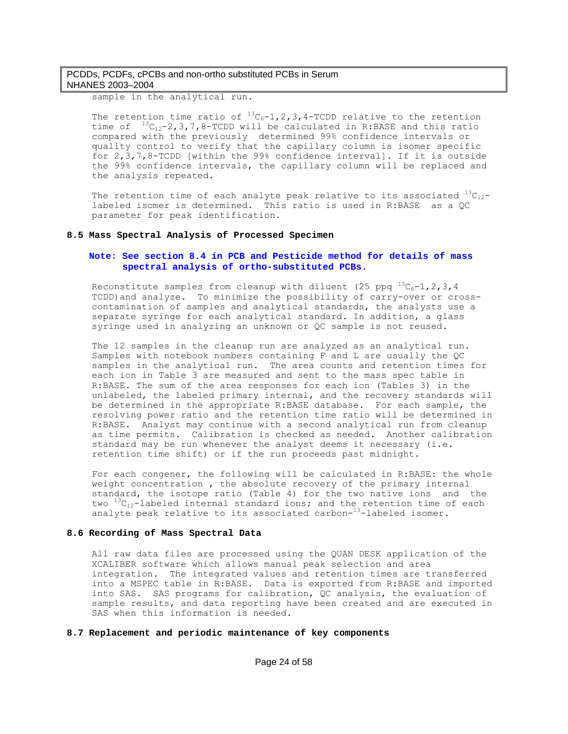sample in the analytical run.

The retention time ratio of  ${}^{13}C_6-1$ , 2, 3, 4-TCDD relative to the retention time of  ${}^{13}C_{12}$ -2,3,7,8-TCDD will be calculated in R:BASE and this ratio compared with the previously determined 99% confidence intervals or quality control to verify that the capillary column is isomer specific for 2,3,7,8-TCDD [within the 99% confidence interval]. If it is outside the 99% confidence intervals, the capillary column will be replaced and the analysis repeated.

The retention time of each analyte peak relative to its associated  ${}^{13}C_{12}$ labeled isomer is determined. This ratio is used in R:BASE as a QC parameter for peak identification.

#### **8.5 Mass Spectral Analysis of Processed Specimen**

### **Note: See section 8.4 in PCB and Pesticide method for details of mass spectral analysis of ortho-substituted PCBs.**

Reconstitute samples from cleanup with diluent (25 ppq  $^{13}C_6-1$ , 2, 3, 4 TCDD)and analyze. To minimize the possibility of carry-over or crosscontamination of samples and analytical standards, the analysts use a separate syringe for each analytical standard. In addition, a glass syringe used in analyzing an unknown or QC sample is not reused.

The 12 samples in the cleanup run are analyzed as an analytical run. Samples with notebook numbers containing F and L are usually the QC samples in the analytical run. The area counts and retention times for each ion in Table 3 are measured and sent to the mass spec table in R:BASE. The sum of the area responses for each ion (Tables 3) in the unlabeled, the labeled primary internal, and the recovery standards will be determined in the appropriate R:BASE database. For each sample, the resolving power ratio and the retention time ratio will be determined in R:BASE. Analyst may continue with a second analytical run from cleanup as time permits. Calibration is checked as needed. Another calibration standard may be run whenever the analyst deems it necessary (i.e. retention time shift) or if the run proceeds past midnight.

For each congener, the following will be calculated in R:BASE: the whole weight concentration , the absolute recovery of the primary internal standard, the isotope ratio (Table 4) for the two native ions and the two  ${}^{13}C_{12}$ -labeled internal standard ions; and the retention time of each analyte peak relative to its associated carbon-13-labeled isomer.

#### **8.6 Recording of Mass Spectral Data**

All raw data files are processed using the QUAN DESK application of the XCALIBER software which allows manual peak selection and area integration. The integrated values and retention times are transferred into a MSPEC table in R:BASE. Data is exported from R:BASE and imported into SAS. SAS programs for calibration, QC analysis, the evaluation of sample results, and data reporting have been created and are executed in SAS when this information is needed.

#### **8.7 Replacement and periodic maintenance of key components**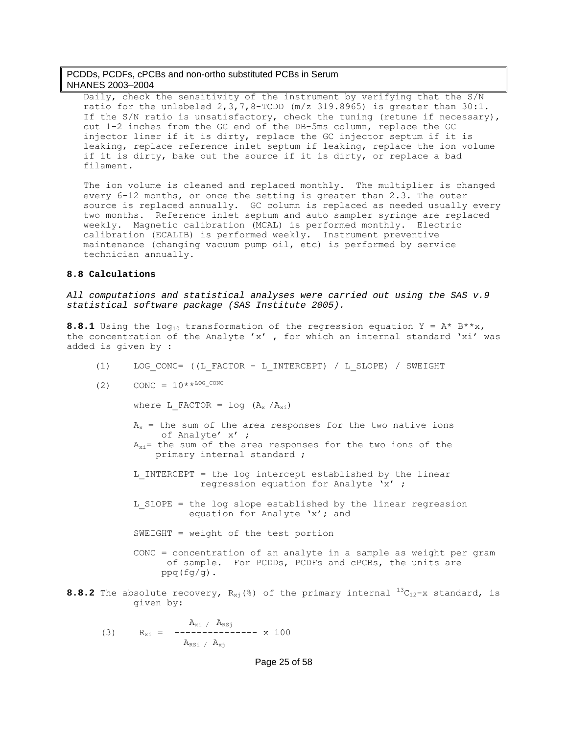Daily, check the sensitivity of the instrument by verifying that the S/N ratio for the unlabeled  $2,3,7,8$ -TCDD (m/z 319.8965) is greater than  $30:1$ . If the S/N ratio is unsatisfactory, check the tuning (retune if necessary), cut 1-2 inches from the GC end of the DB-5ms column, replace the GC injector liner if it is dirty, replace the GC injector septum if it is leaking, replace reference inlet septum if leaking, replace the ion volume if it is dirty, bake out the source if it is dirty, or replace a bad filament.

The ion volume is cleaned and replaced monthly. The multiplier is changed every 6-12 months, or once the setting is greater than 2.3. The outer source is replaced annually. GC column is replaced as needed usually every two months. Reference inlet septum and auto sampler syringe are replaced weekly. Magnetic calibration (MCAL) is performed monthly. Electric calibration (ECALIB) is performed weekly. Instrument preventive maintenance (changing vacuum pump oil, etc) is performed by service technician annually.

### **8.8 Calculations**

*All computations and statistical analyses were carried out using the SAS v.9 statistical software package (SAS Institute 2005).* 

**8.8.1** Using the log<sub>10</sub> transformation of the regression equation  $Y = A* B**x$ , the concentration of the Analyte 'x' , for which an internal standard 'xi' was added is given by :

- (1) LOG\_CONC= ((L\_FACTOR L\_INTERCEPT) / L\_SLOPE) / SWEIGHT
- (2)  $CONF = 10**^{LOG\_CONC}$

where L FACTOR =  $log (A_x / A_{xi})$ 

 $A<sub>x</sub>$  = the sum of the area responses for the two native ions of Analyte' x' ;  $A_{x,i}$  = the sum of the area responses for the two ions of the primary internal standard ;

L INTERCEPT = the log intercept established by the linear regression equation for Analyte 'x' ;

L SLOPE = the log slope established by the linear regression equation for Analyte 'x'; and

SWEIGHT = weight of the test portion

 CONC = concentration of an analyte in a sample as weight per gram of sample. For PCDDs, PCDFs and cPCBs, the units are  $ppq(fq/q)$ .

**8.8.2** The absolute recovery,  $R_{xi}$  (%) of the primary internal  ${}^{13}C_{12}-x$  standard, is given by:

(3) 
$$
R_{xi} = \begin{cases} A_{xi} / A_{RSj} \\ - \text{---} \text{---} \text{---} \text{---} \\ A_{RSi} / A_{xj} \end{cases} x 100
$$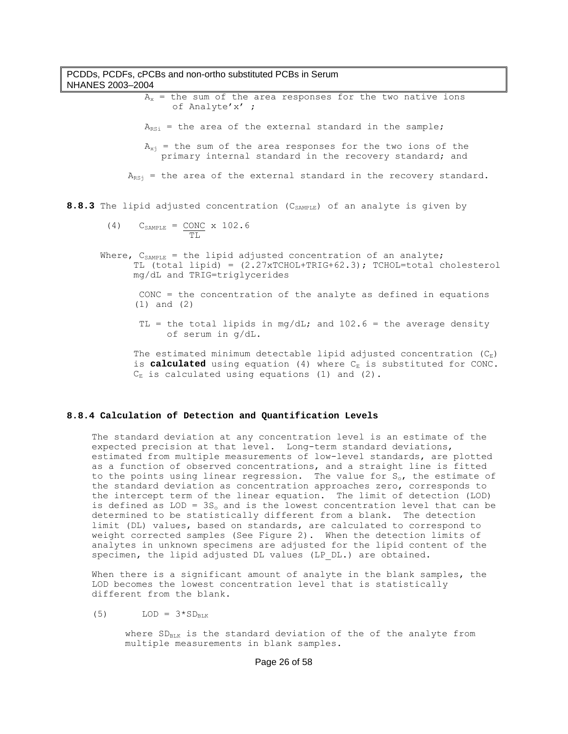# PCDDs, PCDFs, cPCBs and non-ortho substituted PCBs in Serum NHANES 2003–2004  $A_x$  = the sum of the area responses for the two native ions of Analyte'x' ;  $A_{RSi}$  = the area of the external standard in the sample;  $A_{x_i}$  = the sum of the area responses for the two ions of the primary internal standard in the recovery standard; and  $A_{RSi}$  = the area of the external standard in the recovery standard. 8.8.3 The lipid adjusted concentration (C<sub>SAMPLE</sub>) of an analyte is given by (4)  $C_{\texttt{SAMPLE}} = \underline{\text{CONC}} \times 102.6$  TL Where,  $C_{SAMPL}$  = the lipid adjusted concentration of an analyte; TL (total lipid) = (2.27xTCHOL+TRIG+62.3); TCHOL=total cholesterol mg/dL and TRIG=triglycerides CONC = the concentration of the analyte as defined in equations (1) and (2) TL = the total lipids in mg/dL; and  $102.6$  = the average density of serum in g/dL.

The estimated minimum detectable lipid adjusted concentration  $(C_E)$ is **calculated** using equation (4) where  $C_{E}$  is substituted for CONC.  $C_{\text{E}}$  is calculated using equations (1) and (2).

#### **8.8.4 Calculation of Detection and Quantification Levels**

The standard deviation at any concentration level is an estimate of the expected precision at that level. Long-term standard deviations, estimated from multiple measurements of low-level standards, are plotted as a function of observed concentrations, and a straight line is fitted to the points using linear regression. The value for  $S_{\rm o}$ , the estimate of the standard deviation as concentration approaches zero, corresponds to the intercept term of the linear equation. The limit of detection (LOD) is defined as  $LOD = 3S_0$  and is the lowest concentration level that can be determined to be statistically different from a blank. The detection limit (DL) values, based on standards, are calculated to correspond to weight corrected samples (See Figure 2). When the detection limits of analytes in unknown specimens are adjusted for the lipid content of the specimen, the lipid adjusted DL values (LP\_DL.) are obtained.

When there is a significant amount of analyte in the blank samples, the LOD becomes the lowest concentration level that is statistically different from the blank.

(5) LOD =  $3*SD_{BLK}$ 

where  $SD_{RLK}$  is the standard deviation of the of the analyte from multiple measurements in blank samples.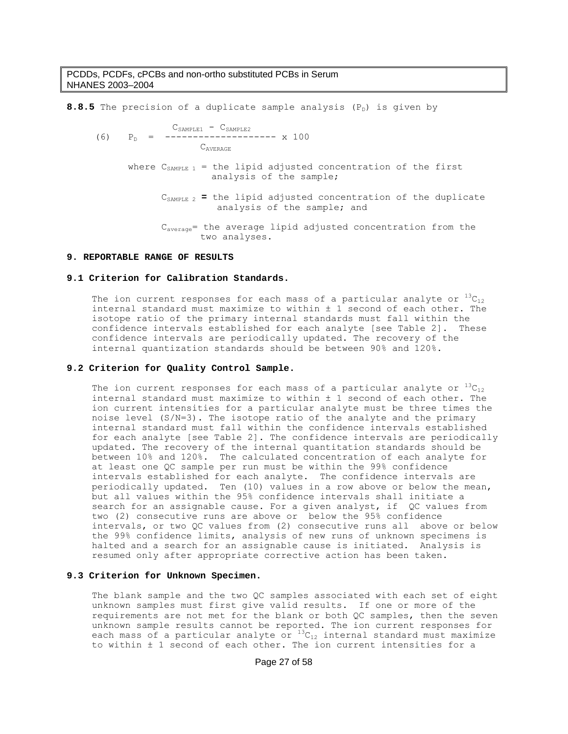**8.8.5** The precision of a duplicate sample analysis  $(P_D)$  is given by CSAMPLE1 SAMPLE2 - C  $P_n =$  --------------------- x 100 CAVERAGE where  $C_{SAMPLE 1}$  = the lipid adjusted concentration of the first analysis of the sample;  $C_{SAMPLE_2}$  = the lipid adjusted concentration of the duplicate analysis of the sample; and Caverage= the average lipid adjusted concentration from the two analyses.

#### **9. REPORTABLE RANGE OF RESULTS**

#### **9.1 Criterion for Calibration Standards.**

The ion current responses for each mass of a particular analyte or  $^{13}C_{12}$ internal standard must maximize to within ± 1 second of each other. The isotope ratio of the primary internal standards must fall within the confidence intervals established for each analyte [see Table 2]. These confidence intervals are periodically updated. The recovery of the internal quantization standards should be between 90% and 120%.

#### **9.2 Criterion for Quality Control Sample.**

The ion current responses for each mass of a particular analyte or  $^{13}C_{12}$ internal standard must maximize to within ± 1 second of each other. The ion current intensities for a particular analyte must be three times the noise level (S/N=3). The isotope ratio of the analyte and the primary internal standard must fall within the confidence intervals established for each analyte [see Table 2]. The confidence intervals are periodically updated. The recovery of the internal quantitation standards should be between 10% and 120%. The calculated concentration of each analyte for at least one QC sample per run must be within the 99% confidence intervals established for each analyte. The confidence intervals are periodically updated. Ten (10) values in a row above or below the mean, but all values within the 95% confidence intervals shall initiate a search for an assignable cause. For a given analyst, if OC values from two (2) consecutive runs are above or below the 95% confidence intervals, or two QC values from (2) consecutive runs all above or below the 99% confidence limits, analysis of new runs of unknown specimens is halted and a search for an assignable cause is initiated. Analysis is resumed only after appropriate corrective action has been taken.

### **9.3 Criterion for Unknown Specimen.**

The blank sample and the two QC samples associated with each set of eight unknown samples must first give valid results. If one or more of the requirements are not met for the blank or both QC samples, then the seven unknown sample results cannot be reported. The ion current responses for each mass of a particular analyte or  $^{13}C_{12}$  internal standard must maximize to within ± 1 second of each other. The ion current intensities for a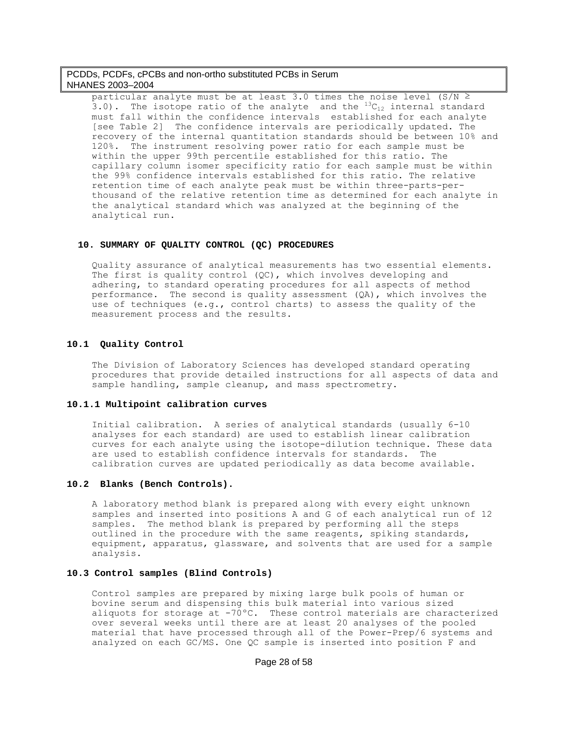particular analyte must be at least 3.0 times the noise level (S/N  $\ge$  $\overline{3.0}$ ). The isotope ratio of the analyte and the  $^{13}C_{12}$  internal standard must fall within the confidence intervals established for each analyte [see Table 2] The confidence intervals are periodically updated. The recovery of the internal quantitation standards should be between 10% and 120%. The instrument resolving power ratio for each sample must be within the upper 99th percentile established for this ratio. The capillary column isomer specificity ratio for each sample must be within the 99% confidence intervals established for this ratio. The relative retention time of each analyte peak must be within three-parts-perthousand of the relative retention time as determined for each analyte in the analytical standard which was analyzed at the beginning of the analytical run.

#### **10. SUMMARY OF QUALITY CONTROL (QC) PROCEDURES**

Quality assurance of analytical measurements has two essential elements. The first is quality control (QC), which involves developing and adhering, to standard operating procedures for all aspects of method performance. The second is quality assessment (QA), which involves the use of techniques (e.g., control charts) to assess the quality of the measurement process and the results.

#### **10.1 Quality Control**

The Division of Laboratory Sciences has developed standard operating procedures that provide detailed instructions for all aspects of data and sample handling, sample cleanup, and mass spectrometry.

#### **10.1.1 Multipoint calibration curves**

Initial calibration. A series of analytical standards (usually 6-10 analyses for each standard) are used to establish linear calibration curves for each analyte using the isotope-dilution technique. These data are used to establish confidence intervals for standards. The calibration curves are updated periodically as data become available.

#### **10.2 Blanks (Bench Controls).**

A laboratory method blank is prepared along with every eight unknown samples and inserted into positions A and G of each analytical run of 12 samples. The method blank is prepared by performing all the steps outlined in the procedure with the same reagents, spiking standards, equipment, apparatus, glassware, and solvents that are used for a sample analysis.

### **10.3 Control samples (Blind Controls)**

Control samples are prepared by mixing large bulk pools of human or bovine serum and dispensing this bulk material into various sized aliquots for storage at -70ºC. These control materials are characterized over several weeks until there are at least 20 analyses of the pooled material that have processed through all of the Power-Prep/6 systems and analyzed on each GC/MS. One QC sample is inserted into position F and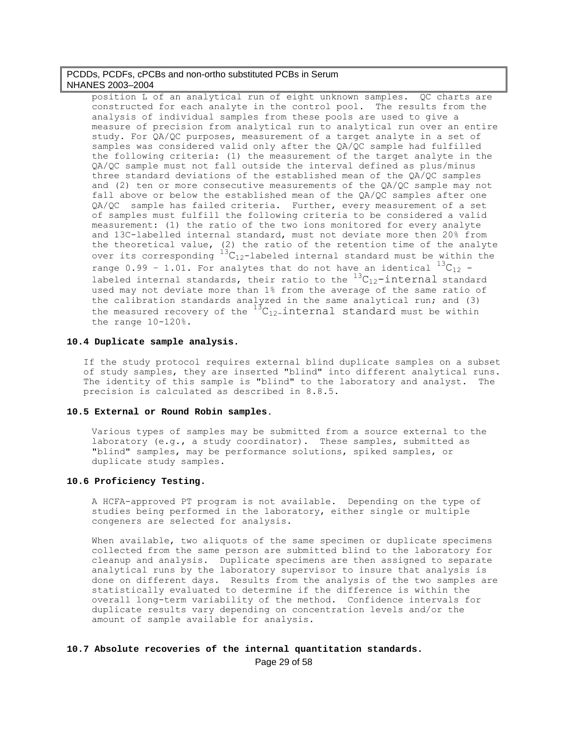position L of an analytical run of eight unknown samples. QC charts are constructed for each analyte in the control pool. The results from the analysis of individual samples from these pools are used to give a measure of precision from analytical run to analytical run over an entire study. For QA/QC purposes, measurement of a target analyte in a set of samples was considered valid only after the QA/QC sample had fulfilled the following criteria: (1) the measurement of the target analyte in the QA/QC sample must not fall outside the interval defined as plus/minus three standard deviations of the established mean of the QA/QC samples and (2) ten or more consecutive measurements of the QA/QC sample may not fall above or below the established mean of the QA/QC samples after one QA/QC sample has failed criteria. Further, every measurement of a set of samples must fulfill the following criteria to be considered a valid measurement: (1) the ratio of the two ions monitored for every analyte and 13C-labelled internal standard, must not deviate more then 20% from the theoretical value, (2) the ratio of the retention time of the analyte over its corresponding  ${}^{13}C_{12}$ -labeled internal standard must be within the range  $0.99 - 1.01$ . For analytes that do not have an identical  $^{13}C_{12}$  labeled internal standards, their ratio to the  $^{13}C_{12}$ -internal standard used may not deviate more than 1% from the average of the same ratio of the calibration standards analyzed in the same analytical run; and (3) the measured recovery of the  $^{13}C_{12}$ -internal standard must be within the range 10-120%.

### **10.4 Duplicate sample analysis.**

If the study protocol requires external blind duplicate samples on a subset of study samples, they are inserted "blind" into different analytical runs. The identity of this sample is "blind" to the laboratory and analyst. The precision is calculated as described in 8.8.5.

### **10.5 External or Round Robin samples**.

Various types of samples may be submitted from a source external to the laboratory (e.g., a study coordinator). These samples, submitted as "blind" samples, may be performance solutions, spiked samples, or duplicate study samples.

### **10.6 Proficiency Testing.**

A HCFA-approved PT program is not available. Depending on the type of studies being performed in the laboratory, either single or multiple congeners are selected for analysis.

When available, two aliquots of the same specimen or duplicate specimens collected from the same person are submitted blind to the laboratory for cleanup and analysis. Duplicate specimens are then assigned to separate analytical runs by the laboratory supervisor to insure that analysis is done on different days. Results from the analysis of the two samples are statistically evaluated to determine if the difference is within the overall long-term variability of the method. Confidence intervals for duplicate results vary depending on concentration levels and/or the amount of sample available for analysis.

# Page 29 of 58 **10.7 Absolute recoveries of the internal quantitation standards.**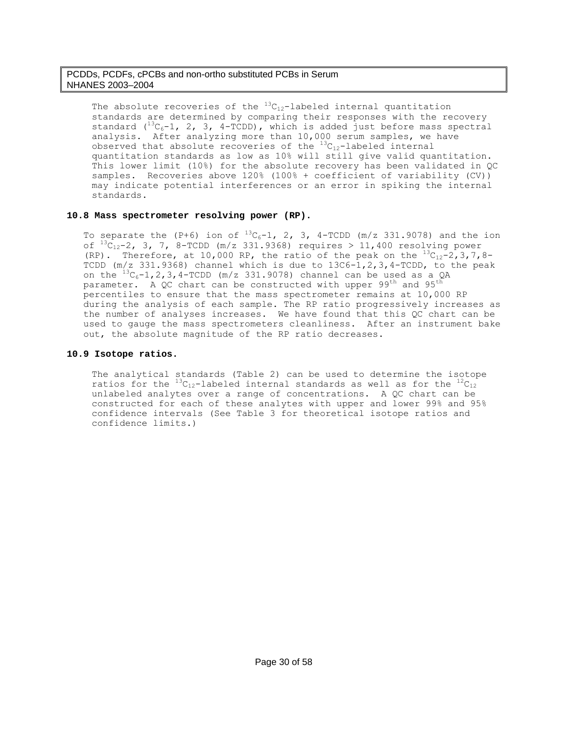The absolute recoveries of the  ${}^{13}C_{12}$ -labeled internal quantitation standards are determined by comparing their responses with the recovery standard  $(^{13}C_6-1$ , 2, 3, 4-TCDD), which is added just before mass spectral analysis. After analyzing more than 10,000 serum samples, we have observed that absolute recoveries of the  ${}^{13}C_{12}$ -labeled internal quantitation standards as low as 10% will still give valid quantitation. This lower limit (10%) for the absolute recovery has been validated in QC samples. Recoveries above 120% (100% + coefficient of variability (CV)) may indicate potential interferences or an error in spiking the internal standards.

### **10.8 Mass spectrometer resolving power (RP).**

To separate the (P+6) ion of  $^{13}C_6-1$ , 2, 3, 4-TCDD (m/z 331.9078) and the ion of  ${}^{13}C_{12}$ -2, 3, 7, 8-TCDD (m/z 331.9368) requires > 11,400 resolving power (RP). Therefore, at 10,000 RP, the ratio of the peak on the  $^{13}C_{12}-2$ , 3, 7, 8-TCDD (m/z 331.9368) channel which is due to 13C6-1,2,3,4-TCDD, to the peak on the  ${}^{13}C_6-1$ , 2, 3, 4-TCDD (m/z 331.9078) channel can be used as a QA parameter. A QC chart can be constructed with upper  $99^{th}$  and  $95^{th}$ percentiles to ensure that the mass spectrometer remains at 10,000 RP during the analysis of each sample. The RP ratio progressively increases as the number of analyses increases. We have found that this QC chart can be used to gauge the mass spectrometers cleanliness. After an instrument bake out, the absolute magnitude of the RP ratio decreases.

### **10.9 Isotope ratios.**

The analytical standards (Table 2) can be used to determine the isotope ratios for the  ${}^{13}C_{12}$ -labeled internal standards as well as for the  ${}^{12}C_{12}$ unlabeled analytes over a range of concentrations. A QC chart can be constructed for each of these analytes with upper and lower 99% and 95% confidence intervals (See Table 3 for theoretical isotope ratios and confidence limits.)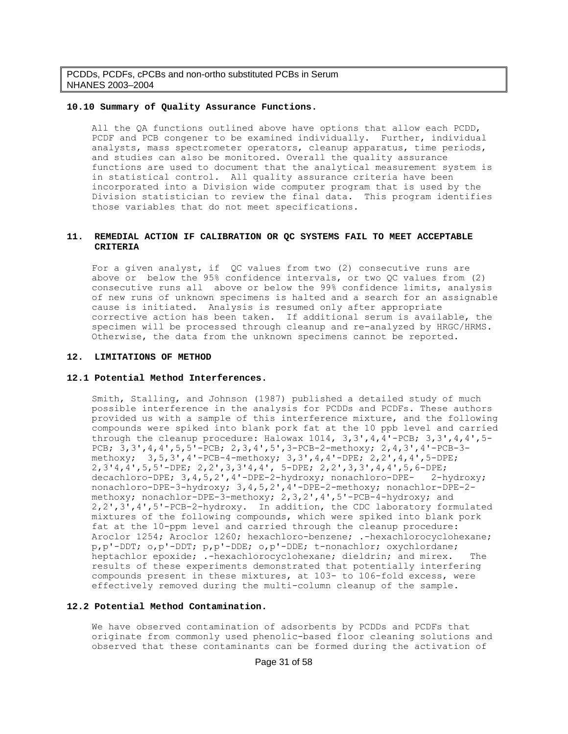#### **10.10 Summary of Quality Assurance Functions.**

All the QA functions outlined above have options that allow each PCDD, PCDF and PCB congener to be examined individually. Further, individual analysts, mass spectrometer operators, cleanup apparatus, time periods, and studies can also be monitored. Overall the quality assurance functions are used to document that the analytical measurement system is in statistical control. All quality assurance criteria have been incorporated into a Division wide computer program that is used by the Division statistician to review the final data. This program identifies those variables that do not meet specifications.

### **11. REMEDIAL ACTION IF CALIBRATION OR QC SYSTEMS FAIL TO MEET ACCEPTABLE CRITERIA**

For a given analyst, if QC values from two (2) consecutive runs are above or below the 95% confidence intervals, or two QC values from (2) consecutive runs all above or below the 99% confidence limits, analysis of new runs of unknown specimens is halted and a search for an assignable cause is initiated. Analysis is resumed only after appropriate corrective action has been taken. If additional serum is available, the specimen will be processed through cleanup and re-analyzed by HRGC/HRMS. Otherwise, the data from the unknown specimens cannot be reported.

#### **12. LIMITATIONS OF METHOD**

#### **12.1 Potential Method Interferences.**

Smith, Stalling, and Johnson (1987) published a detailed study of much possible interference in the analysis for PCDDs and PCDFs. These authors provided us with a sample of this interference mixture, and the following compounds were spiked into blank pork fat at the 10 ppb level and carried through the cleanup procedure: Halowax  $1014$ ,  $3$ ,  $3'$ ,  $4$ ,  $4'$ -PCB;  $3$ ,  $3'$ ,  $4$ ,  $4'$ ,  $5-$ PCB; 3,3',4,4',5,5'-PCB; 2,3,4',5',3-PCB-2-methoxy; 2,4,3',4'-PCB-3 methoxy; 3,5,3',4'-PCB-4-methoxy; 3,3',4,4'-DPE; 2,2',4,4',5-DPE; 2,3'4,4',5,5'-DPE; 2,2',3,3'4,4', 5-DPE; 2,2',3,3',4,4',5,6-DPE; decachloro-DPE; 3,4,5,2',4'-DPE-2-hydroxy; nonachloro-DPE- 2-hydroxy; nonachloro-DPE-3-hydroxy; 3,4,5,2',4'-DPE-2-methoxy; nonachlor-DPE-2 methoxy; nonachlor-DPE-3-methoxy; 2,3,2',4',5'-PCB-4-hydroxy; and 2,2',3',4',5'-PCB-2-hydroxy. In addition, the CDC laboratory formulated mixtures of the following compounds, which were spiked into blank pork fat at the 10-ppm level and carried through the cleanup procedure: Aroclor 1254; Aroclor 1260; hexachloro-benzene; .-hexachlorocyclohexane; p,p'-DDT; o,p'-DDT; p,p'-DDE; o,p'-DDE; t-nonachlor; oxychlordane; heptachlor epoxide; .-hexachlorocyclohexane; dieldrin; and mirex. The results of these experiments demonstrated that potentially interfering compounds present in these mixtures, at 103- to 106-fold excess, were effectively removed during the multi-column cleanup of the sample.

### **12.2 Potential Method Contamination.**

We have observed contamination of adsorbents by PCDDs and PCDFs that originate from commonly used phenolic-based floor cleaning solutions and observed that these contaminants can be formed during the activation of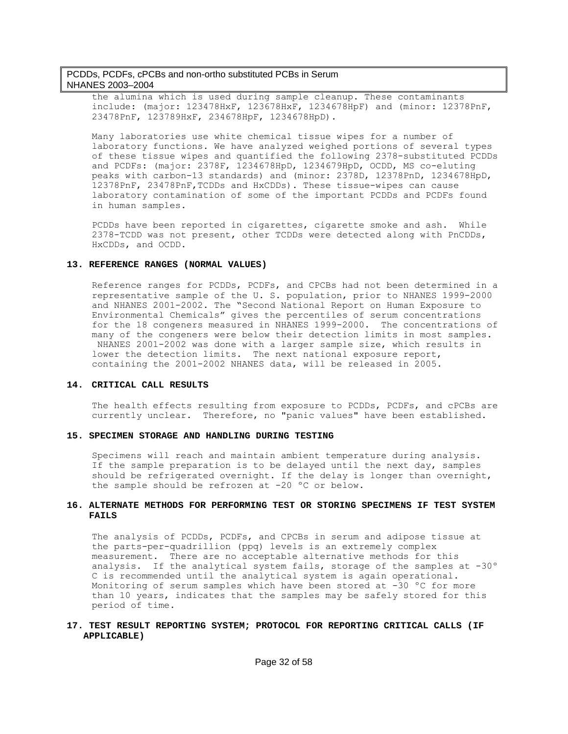the alumina which is used during sample cleanup. These contaminants include: (major: 123478HxF, 123678HxF, 1234678HpF) and (minor: 12378PnF, 23478PnF, 123789HxF, 234678HpF, 1234678HpD).

Many laboratories use white chemical tissue wipes for a number of laboratory functions. We have analyzed weighed portions of several types of these tissue wipes and quantified the following 2378-substituted PCDDs and PCDFs: (major: 2378F, 1234678HpD, 1234679HpD, OCDD, MS co-eluting peaks with carbon-13 standards) and (minor: 2378D, 12378PnD, 1234678HpD, 12378PnF, 23478PnF,TCDDs and HxCDDs). These tissue-wipes can cause laboratory contamination of some of the important PCDDs and PCDFs found in human samples.

PCDDs have been reported in cigarettes, cigarette smoke and ash. While 2378-TCDD was not present, other TCDDs were detected along with PnCDDs, HxCDDs, and OCDD.

#### **13. REFERENCE RANGES (NORMAL VALUES)**

Reference ranges for PCDDs, PCDFs, and CPCBs had not been determined in a representative sample of the U. S. population, prior to NHANES 1999-2000 and NHANES 2001-2002. The "Second National Report on Human Exposure to Environmental Chemicals" gives the percentiles of serum concentrations for the 18 congeners measured in NHANES 1999-2000. The concentrations of many of the congeners were below their detection limits in most samples. NHANES 2001-2002 was done with a larger sample size, which results in lower the detection limits. The next national exposure report, containing the 2001-2002 NHANES data, will be released in 2005.

#### **14. CRITICAL CALL RESULTS**

The health effects resulting from exposure to PCDDs, PCDFs, and cPCBs are currently unclear. Therefore, no "panic values" have been established.

#### **15. SPECIMEN STORAGE AND HANDLING DURING TESTING**

Specimens will reach and maintain ambient temperature during analysis. If the sample preparation is to be delayed until the next day, samples should be refrigerated overnight. If the delay is longer than overnight, the sample should be refrozen at -20 °C or below.

### **16. ALTERNATE METHODS FOR PERFORMING TEST OR STORING SPECIMENS IF TEST SYSTEM FAILS**

The analysis of PCDDs, PCDFs, and CPCBs in serum and adipose tissue at the parts-per-quadrillion (ppq) levels is an extremely complex measurement. There are no acceptable alternative methods for this analysis. If the analytical system fails, storage of the samples at -30º C is recommended until the analytical system is again operational. Monitoring of serum samples which have been stored at -30 °C for more than 10 years, indicates that the samples may be safely stored for this period of time.

### **17. TEST RESULT REPORTING SYSTEM; PROTOCOL FOR REPORTING CRITICAL CALLS (IF APPLICABLE)**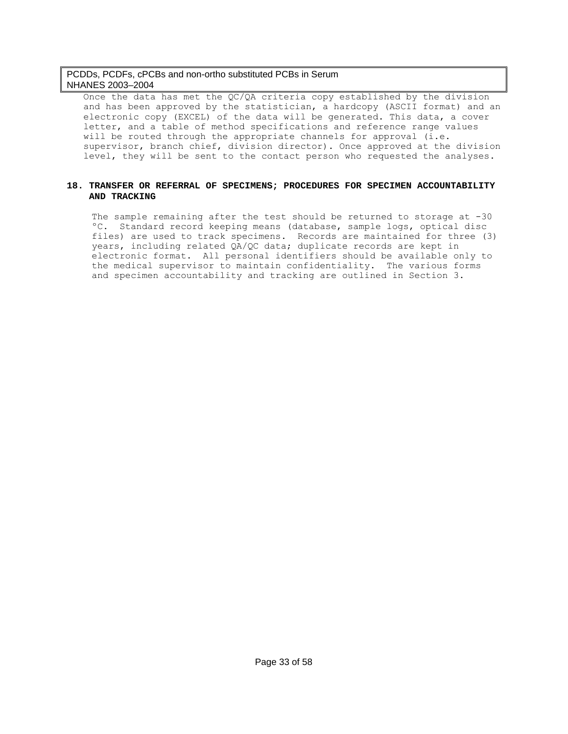Once the data has met the QC/QA criteria copy established by the division and has been approved by the statistician, a hardcopy (ASCII format) and an electronic copy (EXCEL) of the data will be generated. This data, a cover letter, and a table of method specifications and reference range values will be routed through the appropriate channels for approval (i.e. supervisor, branch chief, division director). Once approved at the division level, they will be sent to the contact person who requested the analyses.

### **18. TRANSFER OR REFERRAL OF SPECIMENS; PROCEDURES FOR SPECIMEN ACCOUNTABILITY AND TRACKING**

The sample remaining after the test should be returned to storage at -30 ºC. Standard record keeping means (database, sample logs, optical disc files) are used to track specimens. Records are maintained for three (3) years, including related QA/QC data; duplicate records are kept in electronic format. All personal identifiers should be available only to the medical supervisor to maintain confidentiality. The various forms and specimen accountability and tracking are outlined in Section 3.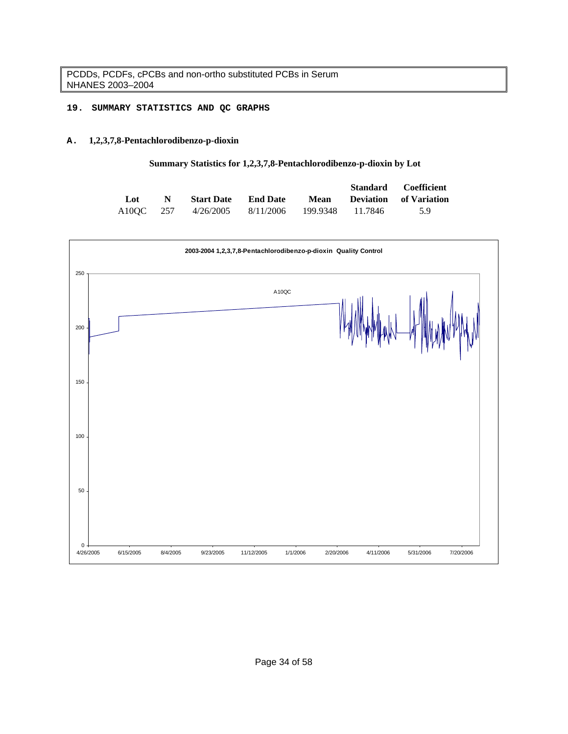# **19. SUMMARY STATISTICS AND QC GRAPHS**

# **A. 1,2,3,7,8-Pentachlorodibenzo-p-dioxin**

# **Summary Statistics for 1,2,3,7,8-Pentachlorodibenzo-p-dioxin by Lot**

|     |             |                                                |      | Standard Coefficient          |
|-----|-------------|------------------------------------------------|------|-------------------------------|
| Lot | $\mathbf N$ | <b>Start Date</b> End Date                     | Mean | <b>Deviation</b> of Variation |
|     |             | A10OC 257 4/26/2005 8/11/2006 199.9348 11.7846 |      | $-59$                         |

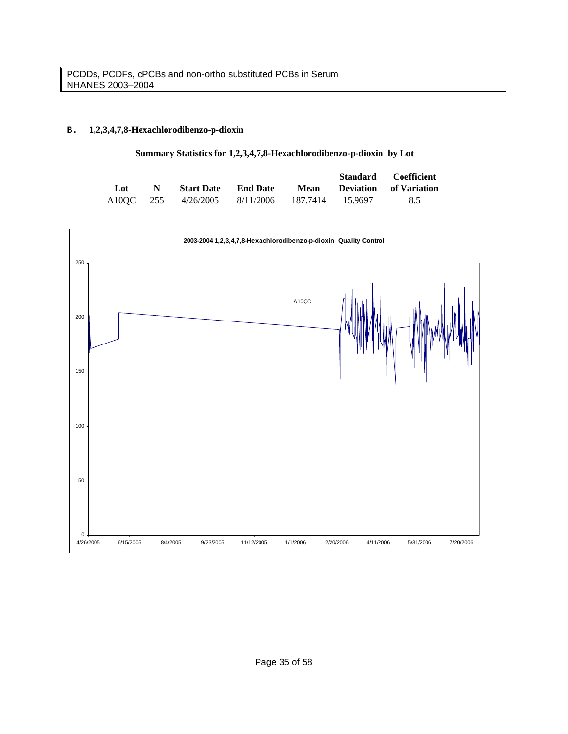# **B. 1,2,3,4,7,8-Hexachlorodibenzo-p-dioxin**

# **Summary Statistics for 1,2,3,4,7,8-Hexachlorodibenzo-p-dioxin by Lot**

|     |             |                                                |  | Standard Coefficient        |
|-----|-------------|------------------------------------------------|--|-----------------------------|
| Lot | $\mathbf N$ | <b>Start Date</b> End Date                     |  | Mean Deviation of Variation |
|     |             | A10QC 255 4/26/2005 8/11/2006 187.7414 15.9697 |  | 8.5                         |

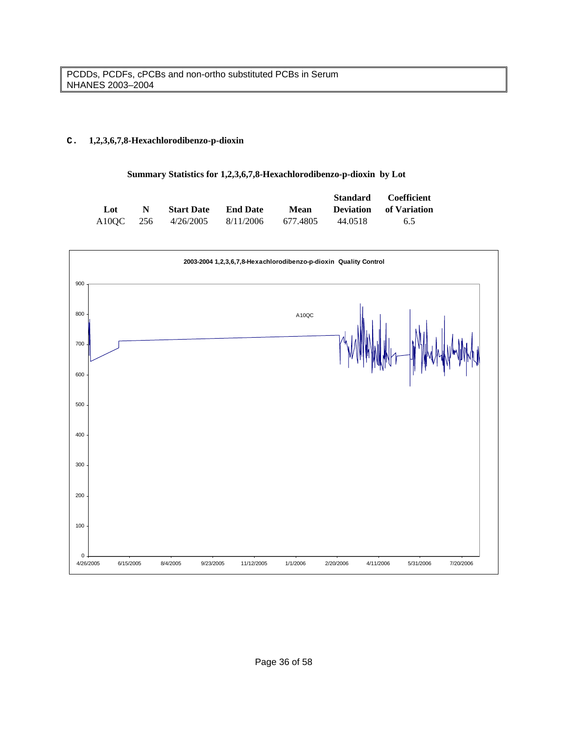# **C. 1,2,3,6,7,8-Hexachlorodibenzo-p-dioxin**

### **Summary Statistics for 1,2,3,6,7,8-Hexachlorodibenzo-p-dioxin by Lot**

|     |    |                               |                 |          | Standard | Coefficient                   |
|-----|----|-------------------------------|-----------------|----------|----------|-------------------------------|
| Lot | N. | <b>Start Date</b>             | <b>End Date</b> | Mean     |          | <b>Deviation</b> of Variation |
|     |    | A10OC 256 4/26/2005 8/11/2006 |                 | 677.4805 | 44.0518  | 6.5                           |

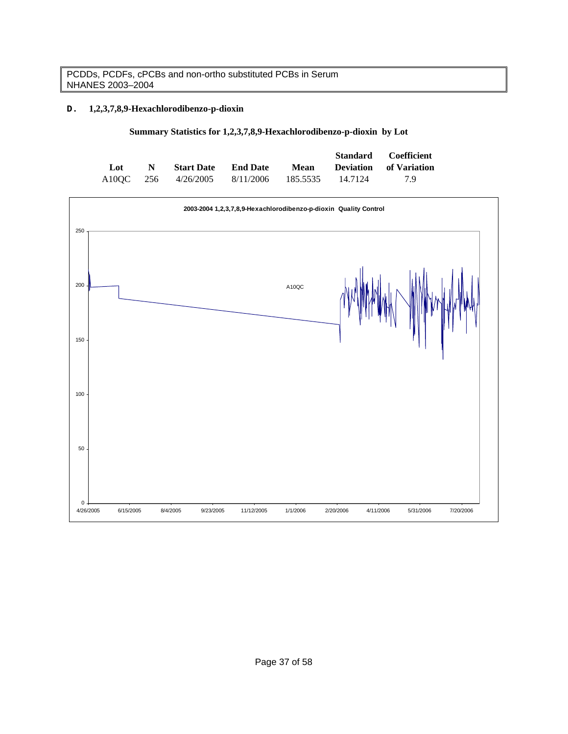# **D. 1,2,3,7,8,9-Hexachlorodibenzo-p-dioxin**

|  |  | Summary Statistics for 1,2,3,7,8,9-Hexachlorodibenzo-p-dioxin by Lot |  |
|--|--|----------------------------------------------------------------------|--|
|--|--|----------------------------------------------------------------------|--|

|     |    |                               |      |                  | Standard Coefficient          |
|-----|----|-------------------------------|------|------------------|-------------------------------|
| Lot | N, | <b>Start Date</b> End Date    | Mean |                  | <b>Deviation</b> of Variation |
|     |    | A10OC 256 4/26/2005 8/11/2006 |      | 185.5535 14.7124 | 79                            |

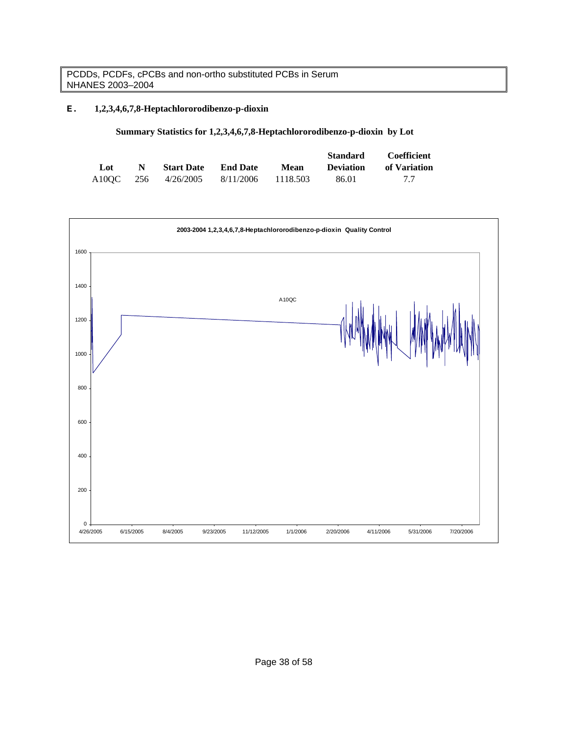# **E. 1,2,3,4,6,7,8-Heptachlororodibenzo-p-dioxin**

|  |  | Summary Statistics for 1,2,3,4,6,7,8-Heptachlororodibenzo-p-dioxin by Lot |  |
|--|--|---------------------------------------------------------------------------|--|
|  |  |                                                                           |  |

|     |   |                               |                 |          | <b>Standard</b>  | Coefficient  |
|-----|---|-------------------------------|-----------------|----------|------------------|--------------|
| Lot | N | <b>Start Date</b>             | <b>End Date</b> | Mean     | <b>Deviation</b> | of Variation |
|     |   | A10OC 256 4/26/2005 8/11/2006 |                 | 1118.503 | 86.01            | 77           |

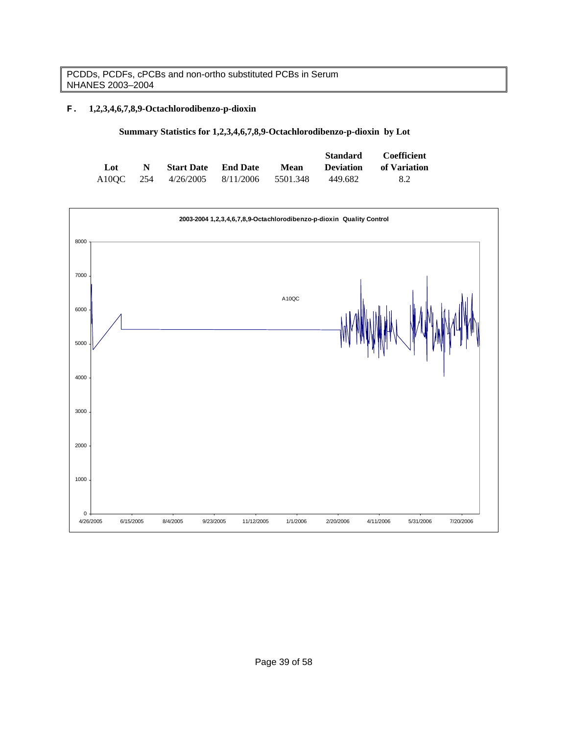# **F. 1,2,3,4,6,7,8,9-Octachlorodibenzo-p-dioxin**

| Summary Statistics for 1,2,3,4,6,7,8,9-Octachlorodibenzo-p-dioxin by Lot |  |
|--------------------------------------------------------------------------|--|
|--------------------------------------------------------------------------|--|

|     |   |                               |          | <b>Standard</b>  | Coefficient  |
|-----|---|-------------------------------|----------|------------------|--------------|
| Lot | N | <b>Start Date</b> End Date    | Mean     | <b>Deviation</b> | of Variation |
|     |   | A10OC 254 4/26/2005 8/11/2006 | 5501.348 | 449.682          | 8.2          |

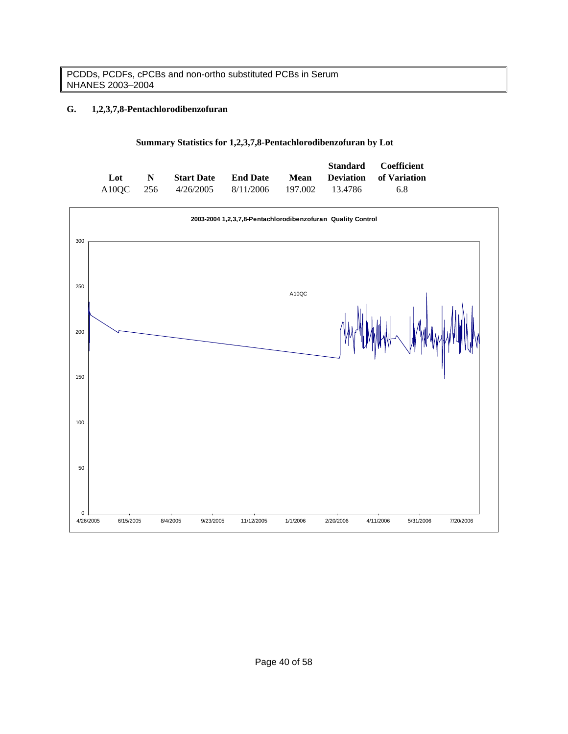# **G. 1,2,3,7,8-Pentachlorodibenzofuran**

## **Summary Statistics for 1,2,3,7,8-Pentachlorodibenzofuran by Lot**

|     |             |                                               |                 |  | Standard Coefficient        |
|-----|-------------|-----------------------------------------------|-----------------|--|-----------------------------|
| Lot | $\mathbf N$ | <b>Start Date</b>                             | <b>End Date</b> |  | Mean Deviation of Variation |
|     |             | A10OC 256 4/26/2005 8/11/2006 197.002 13.4786 |                 |  | 6.8                         |

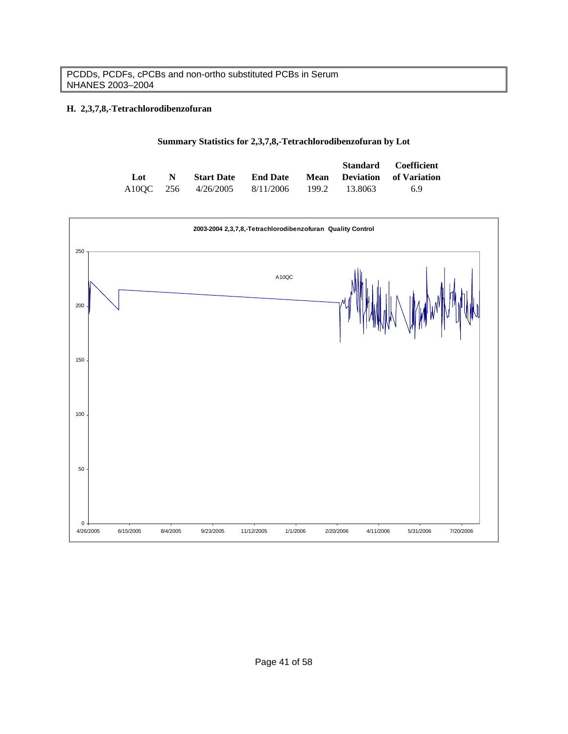# **H. 2,3,7,8,-Tetrachlorodibenzofuran**

|  |  |  | Summary Statistics for 2,3,7,8,-Tetrachlorodibenzofuran by Lot |
|--|--|--|----------------------------------------------------------------|
|  |  |  |                                                                |

|     |             |                               |                 |       |         | <b>Standard Coefficient</b> |
|-----|-------------|-------------------------------|-----------------|-------|---------|-----------------------------|
| Lot | $\mathbf N$ | <b>Start Date</b>             | <b>End Date</b> |       |         | Mean Deviation of Variation |
|     |             | A10OC 256 4/26/2005 8/11/2006 |                 | 199.2 | 13.8063 | 6.9                         |

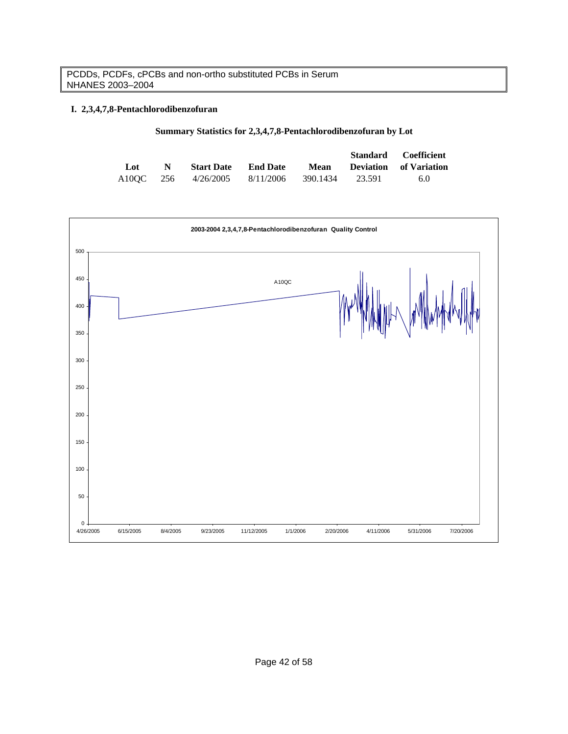# **I. 2,3,4,7,8-Pentachlorodibenzofuran**

| Summary Statistics for 2,3,4,7,8-Pentachlorodibenzofuran by Lot |  |  |
|-----------------------------------------------------------------|--|--|
|-----------------------------------------------------------------|--|--|

|     |    |                               |                 |          |        | <b>Standard</b> Coefficient   |
|-----|----|-------------------------------|-----------------|----------|--------|-------------------------------|
| Lot | N. | <b>Start Date</b>             | <b>End Date</b> | Mean     |        | <b>Deviation</b> of Variation |
|     |    | A10OC 256 4/26/2005 8/11/2006 |                 | 390.1434 | 23.591 | 6.0                           |

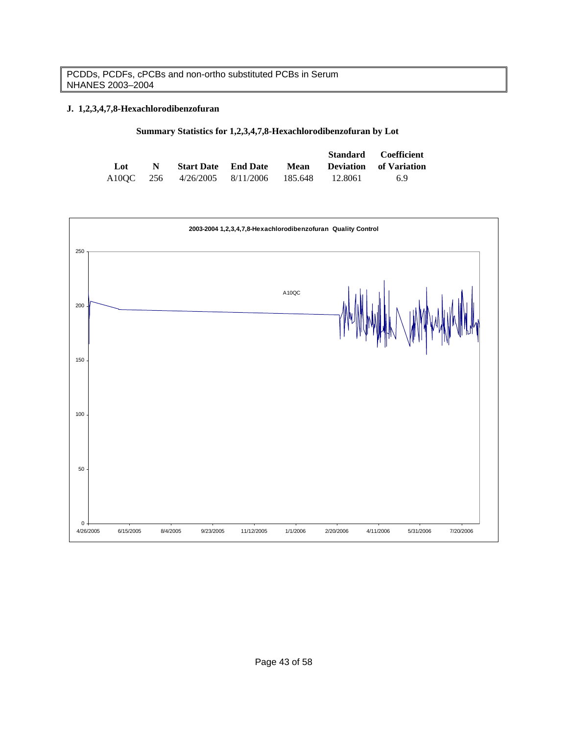# **J. 1,2,3,4,7,8-Hexachlorodibenzofuran**

|     |              |                                       |      |           | <b>Standard Coefficient</b>   |
|-----|--------------|---------------------------------------|------|-----------|-------------------------------|
| Lot | $\mathbf{N}$ | <b>Start Date</b> End Date            | Mean |           | <b>Deviation</b> of Variation |
|     |              | A10OC 256 4/26/2005 8/11/2006 185.648 |      | - 12.8061 | 69                            |

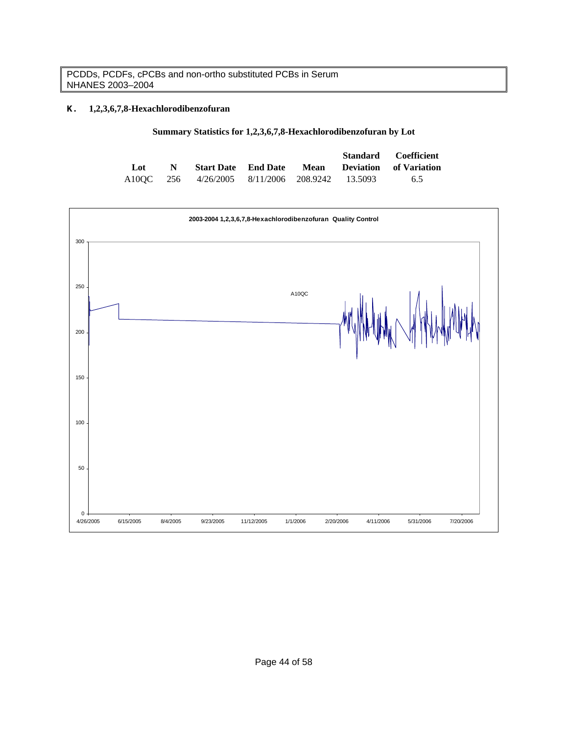# **K. 1,2,3,6,7,8-Hexachlorodibenzofuran**

| Summary Statistics for 1,2,3,6,7,8-Hexachlorodibenzofuran by Lot |  |
|------------------------------------------------------------------|--|
|------------------------------------------------------------------|--|

|     |              |                                                |  | Standard Coefficient                                   |
|-----|--------------|------------------------------------------------|--|--------------------------------------------------------|
| Lot | $\mathbb{N}$ |                                                |  | <b>Start Date</b> End Date Mean Deviation of Variation |
|     |              | A10QC 256 4/26/2005 8/11/2006 208.9242 13.5093 |  | 6.5                                                    |

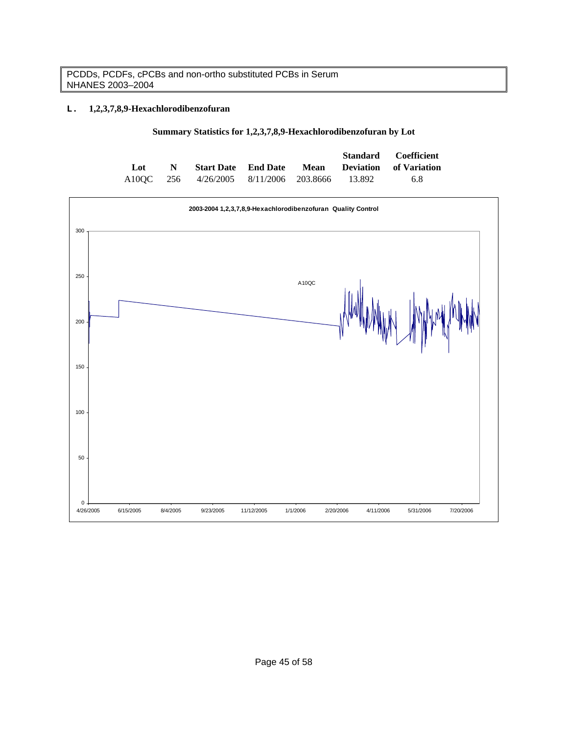# **L. 1,2,3,7,8,9-Hexachlorodibenzofuran**

| Summary Statistics for 1,2,3,7,8,9-Hexachlorodibenzofuran by Lot |
|------------------------------------------------------------------|
|------------------------------------------------------------------|

|     |             |                                               |  | Standard Coefficient        |
|-----|-------------|-----------------------------------------------|--|-----------------------------|
| Lot | $\mathbf N$ | <b>Start Date</b> End Date                    |  | Mean Deviation of Variation |
|     |             | A10OC 256 4/26/2005 8/11/2006 203.8666 13.892 |  | 6.8                         |

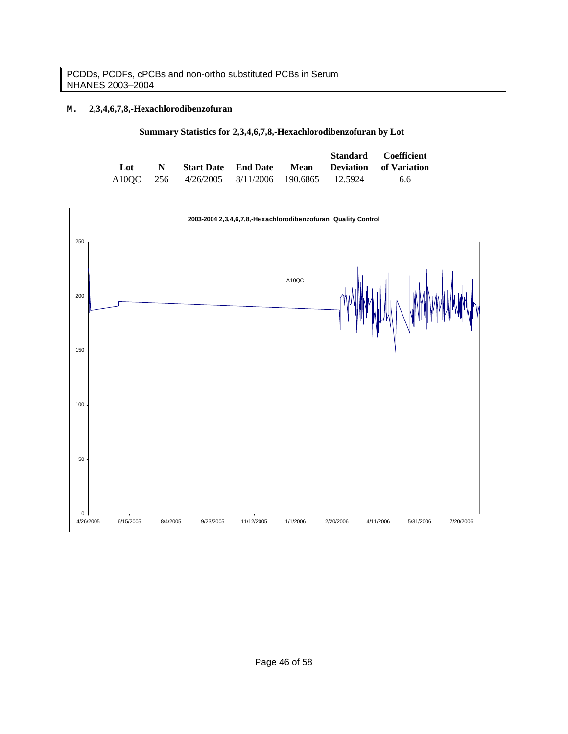# **M. 2,3,4,6,7,8,-Hexachlorodibenzofuran**

| Summary Statistics for 2,3,4,6,7,8,-Hexachlorodibenzofuran by Lot |
|-------------------------------------------------------------------|
|-------------------------------------------------------------------|

|     |             |                                                |  | Standard Coefficient                                   |
|-----|-------------|------------------------------------------------|--|--------------------------------------------------------|
| Lot | $\mathbf N$ |                                                |  | <b>Start Date</b> End Date Mean Deviation of Variation |
|     |             | A10OC 256 4/26/2005 8/11/2006 190.6865 12.5924 |  | 6.6                                                    |

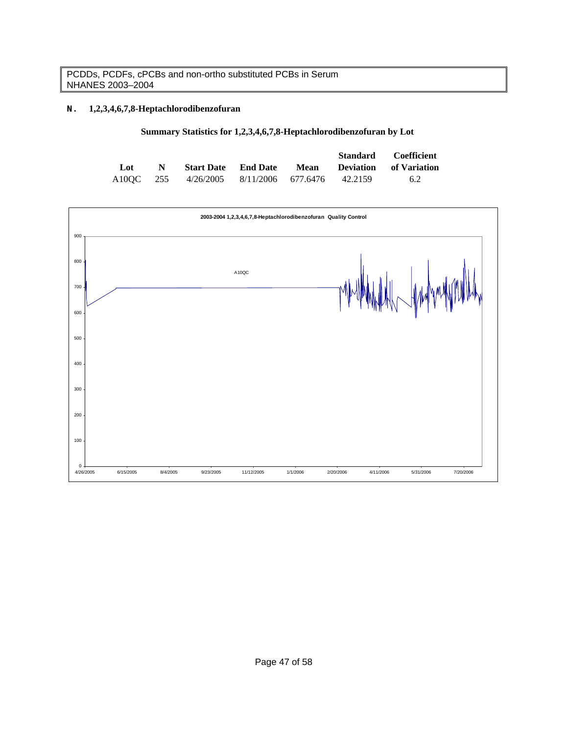# **N. 1,2,3,4,6,7,8-Heptachlorodibenzofuran**

|  |  |  |  |  | Summary Statistics for 1,2,3,4,6,7,8-Heptachlorodibenzofuran by Lot |  |  |  |
|--|--|--|--|--|---------------------------------------------------------------------|--|--|--|
|--|--|--|--|--|---------------------------------------------------------------------|--|--|--|

|     |             |                                                |                            |  | Standard Coefficient        |
|-----|-------------|------------------------------------------------|----------------------------|--|-----------------------------|
| Lot | $\mathbf N$ |                                                | <b>Start Date</b> End Date |  | Mean Deviation of Variation |
|     |             | A10OC 255 4/26/2005 8/11/2006 677.6476 42.2159 |                            |  | 6.2                         |

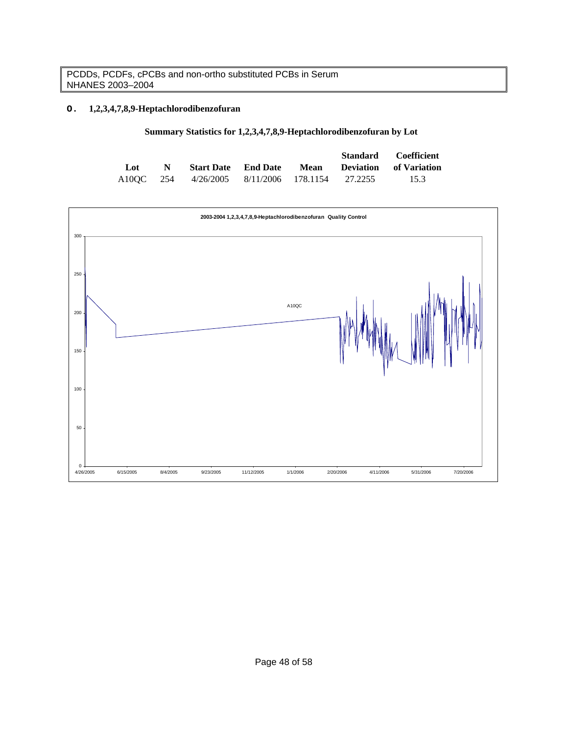# **O. 1,2,3,4,7,8,9-Heptachlorodibenzofuran**

|  |  |  | Summary Statistics for 1,2,3,4,7,8,9-Heptachlorodibenzofuran by Lot |  |  |
|--|--|--|---------------------------------------------------------------------|--|--|
|--|--|--|---------------------------------------------------------------------|--|--|

|     |             |                                                |  | Standard Coefficient                                   |
|-----|-------------|------------------------------------------------|--|--------------------------------------------------------|
| Lot | $\mathbf N$ |                                                |  | <b>Start Date</b> End Date Mean Deviation of Variation |
|     |             | A10OC 254 4/26/2005 8/11/2006 178.1154 27.2255 |  | 15.3                                                   |

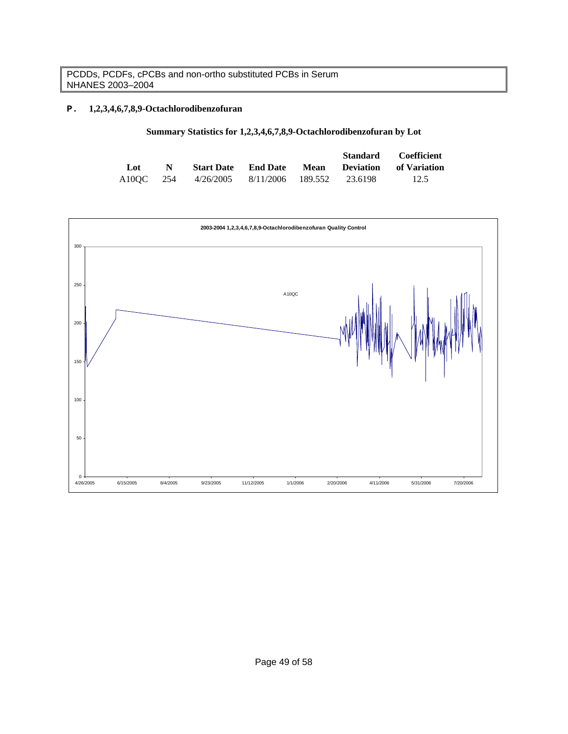# **P. 1,2,3,4,6,7,8,9-Octachlorodibenzofuran**

|  | Summary Statistics for 1,2,3,4,6,7,8,9-Octachlorodibenzofuran by Lot |  |
|--|----------------------------------------------------------------------|--|
|--|----------------------------------------------------------------------|--|

|           |   |                                     |                 | Standard | <b>Coefficient</b>                 |
|-----------|---|-------------------------------------|-----------------|----------|------------------------------------|
| Lot       | N | <b>Start Date</b>                   | <b>End Date</b> |          | <b>Mean</b> Deviation of Variation |
| A10OC 254 |   | 4/26/2005 8/11/2006 189.552 23.6198 |                 |          | 12.5                               |

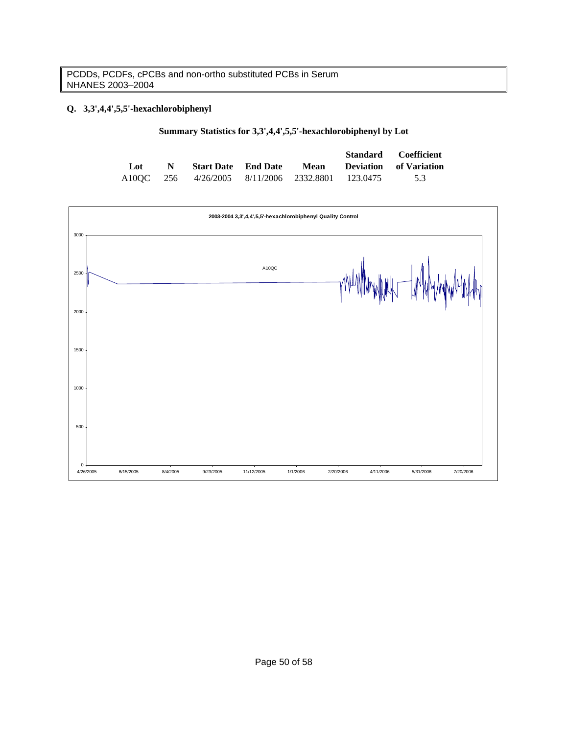# **Q. 3,3',4,4',5,5'-hexachlorobiphenyl**

| Summary Statistics for 3,3',4,4',5,5'-hexachlorobiphenyl by Lot |  |
|-----------------------------------------------------------------|--|
|-----------------------------------------------------------------|--|

|     |             |                                                  |             | Standard Coefficient          |
|-----|-------------|--------------------------------------------------|-------------|-------------------------------|
| Lot | $\mathbf N$ | <b>Start Date</b> End Date                       | <b>Mean</b> | <b>Deviation</b> of Variation |
|     |             | A10OC 256 4/26/2005 8/11/2006 2332.8801 123.0475 |             | 5.3                           |

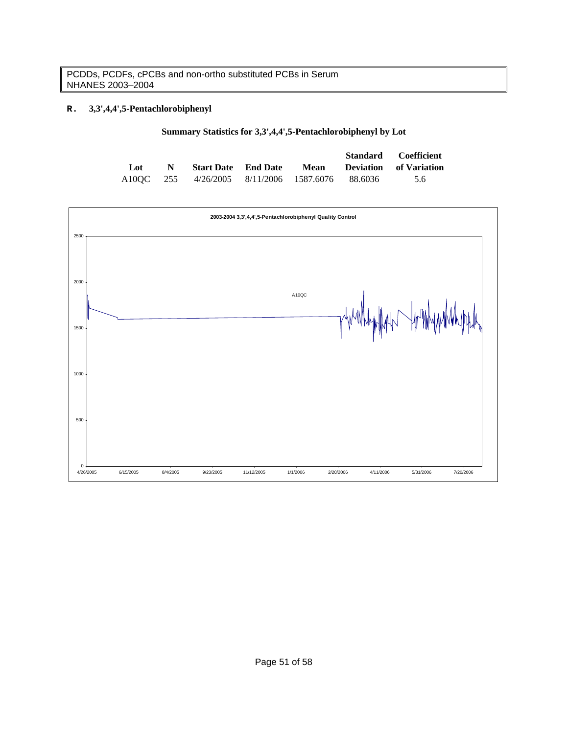# **R. 3,3',4,4',5-Pentachlorobiphenyl**

|  |  |  | Summary Statistics for 3,3',4,4',5-Pentachlorobiphenyl by Lot |  |
|--|--|--|---------------------------------------------------------------|--|
|--|--|--|---------------------------------------------------------------|--|

|     |             |                                                 |      | Standard Coefficient          |
|-----|-------------|-------------------------------------------------|------|-------------------------------|
| Lot | $\mathbf N$ | <b>Start Date</b> End Date                      | Mean | <b>Deviation</b> of Variation |
|     |             | A10OC 255 4/26/2005 8/11/2006 1587.6076 88.6036 |      | 5.6                           |

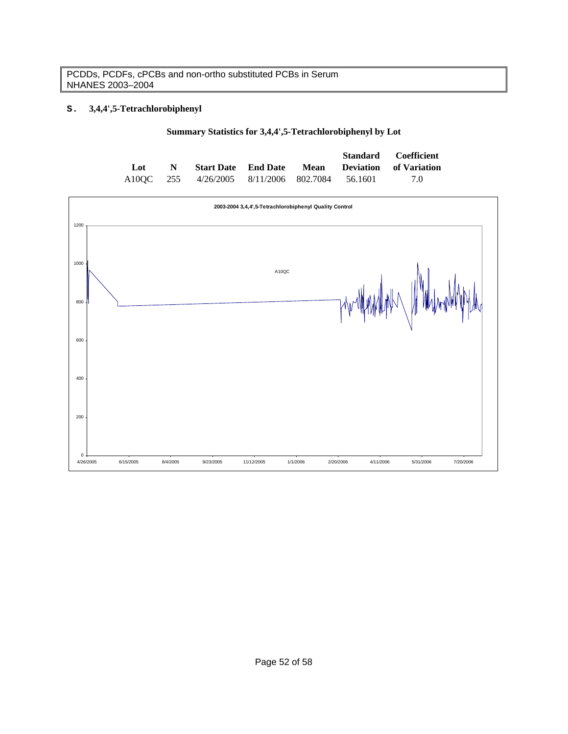# **S. 3,4,4',5-Tetrachlorobiphenyl**

|  |  |  | Summary Statistics for 3,4,4',5-Tetrachlorobiphenyl by Lot |  |
|--|--|--|------------------------------------------------------------|--|
|--|--|--|------------------------------------------------------------|--|

|     |             |                                                |  | Standard Coefficient                                   |
|-----|-------------|------------------------------------------------|--|--------------------------------------------------------|
| Lot | $\mathbf N$ |                                                |  | <b>Start Date</b> End Date Mean Deviation of Variation |
|     |             | A10OC 255 4/26/2005 8/11/2006 802.7084 56.1601 |  | 70                                                     |

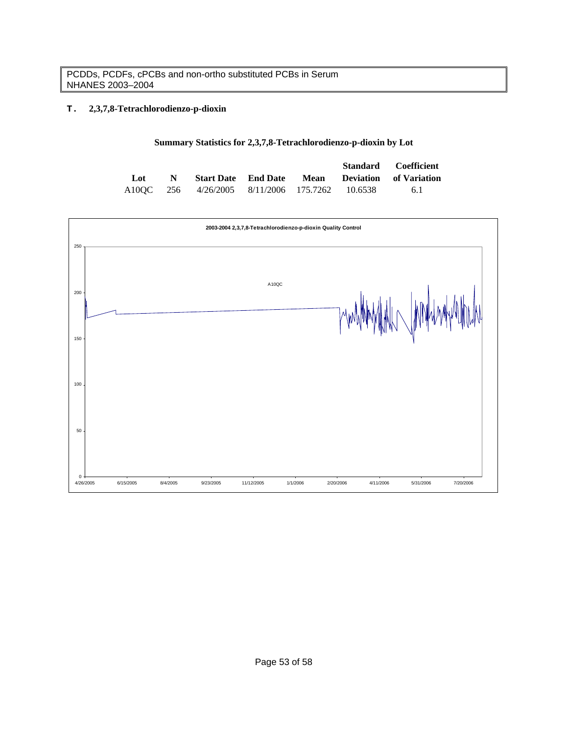# **T. 2,3,7,8-Tetrachlorodienzo-p-dioxin**

## **Summary Statistics for 2,3,7,8-Tetrachlorodienzo-p-dioxin by Lot**

|     |             |                                                |  | Standard Coefficient                                   |
|-----|-------------|------------------------------------------------|--|--------------------------------------------------------|
| Lot | $\mathbf N$ |                                                |  | <b>Start Date</b> End Date Mean Deviation of Variation |
|     |             | A10OC 256 4/26/2005 8/11/2006 175.7262 10.6538 |  | -6.1                                                   |

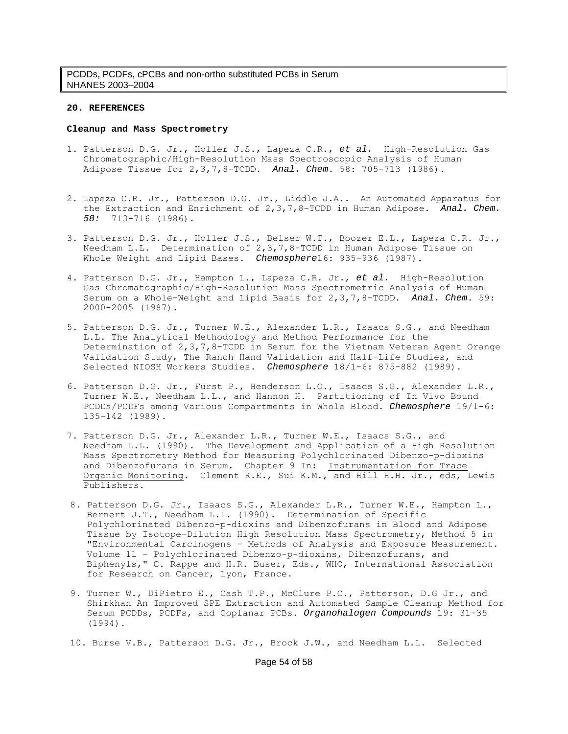#### **20. REFERENCES**

#### **Cleanup and Mass Spectrometry**

- 1. Patterson D.G. Jr., Holler J.S., Lapeza C.R., *et al.* High-Resolution Gas Chromatographic/High-Resolution Mass Spectroscopic Analysis of Human Adipose Tissue for 2,3,7,8-TCDD. *Anal. Chem*. 58: 705-713 (1986).
- 2. Lapeza C.R. Jr., Patterson D.G. Jr., Liddle J.A.. An Automated Apparatus for the Extraction and Enrichment of 2,3,7,8-TCDD in Human Adipose. *Anal. Chem. 58:* 713-716 (1986).
- 3. Patterson D.G. Jr., Holler J.S., Belser W.T., Boozer E.L., Lapeza C.R. Jr., Needham L.L. Determination of 2,3,7,8-TCDD in Human Adipose Tissue on Whole Weight and Lipid Bases. *Chemosphere*16: 935-936 (1987).
- 4. Patterson D.G. Jr., Hampton L., Lapeza C.R. Jr., *et al.* High-Resolution Gas Chromatographic/High-Resolution Mass Spectrometric Analysis of Human Serum on a Whole-Weight and Lipid Basis for 2,3,7,8-TCDD. *Anal. Chem*. 59: 2000-2005 (1987).
- 5. Patterson D.G. Jr., Turner W.E., Alexander L.R., Isaacs S.G., and Needham L.L. The Analytical Methodology and Method Performance for the Determination of 2,3,7,8-TCDD in Serum for the Vietnam Veteran Agent Orange Validation Study, The Ranch Hand Validation and Half-Life Studies, and Selected NIOSH Workers Studies. *Chemosphere* 18/1-6: 875-882 (1989).
- 6. Patterson D.G. Jr., Fürst P., Henderson L.O., Isaacs S.G., Alexander L.R., Turner W.E., Needham L.L., and Hannon H. Partitioning of In Vivo Bound PCDDs/PCDFs among Various Compartments in Whole Blood. *Chemosphere* 19/1-6: 135-142 (1989).
- 7. Patterson D.G. Jr., Alexander L.R., Turner W.E., Isaacs S.G., and Needham L.L. (1990). The Development and Application of a High Resolution Mass Spectrometry Method for Measuring Polychlorinated Dibenzo-p-dioxins and Dibenzofurans in Serum. Chapter 9 In: Instrumentation for Trace Organic Monitoring. Clement R.E., Sui K.M., and Hill H.H. Jr., eds, Lewis Publishers.
- 8. Patterson D.G. Jr., Isaacs S.G., Alexander L.R., Turner W.E., Hampton L., Bernert J.T., Needham L.L. (1990). Determination of Specific Polychlorinated Dibenzo-p-dioxins and Dibenzofurans in Blood and Adipose Tissue by Isotope-Dilution High Resolution Mass Spectrometry, Method 5 in "Environmental Carcinogens - Methods of Analysis and Exposure Measurement. Volume 11 - Polychlorinated Dibenzo-p-dioxins, Dibenzofurans, and Biphenyls," C. Rappe and H.R. Buser, Eds., WHO, International Association for Research on Cancer, Lyon, France.
- 9. Turner W., DiPietro E., Cash T.P., McClure P.C., Patterson, D.G Jr., and Shirkhan An Improved SPE Extraction and Automated Sample Cleanup Method for Serum PCDDs, PCDFs, and Coplanar PCBs. *Organohalogen Compounds* 19: 31-35 (1994).
- 10. Burse V.B., Patterson D.G. Jr., Brock J.W., and Needham L.L. Selected